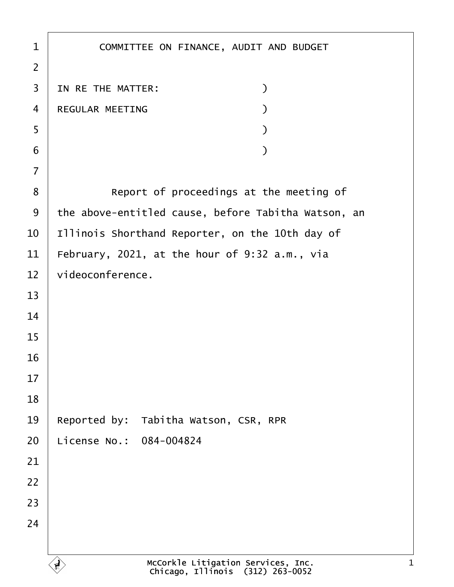1 | COMMITTEE ON FINANCE, AUDIT AND BUDGET ·2 3 IN RE THE MATTER:  $\qquad \qquad$ ·4· ·REGULAR MEETING· · · · · · · · · ·)  $\begin{array}{c|c} 5 & \hspace{2.5cm} \end{array}$  $\begin{array}{c|c} \text{6} & \text{ } \end{array}$ ·7 8 **B** Report of proceedings at the meeting of 9 | the above-entitled cause, before Tabitha Watson, an  $10$  | Illinois Shorthand Reporter, on the 10th day of 11 February, 2021, at the hour of 9:32 a.m., via  $12$  videoconference. 13 14 15 16 17 18 19 Reported by: Tabitha Watson, CSR, RPR 20 License No.: 084-004824 21 22 23 24 McCorkle Litigation Services, Inc. Chicago, Illinois· (312) 263-0052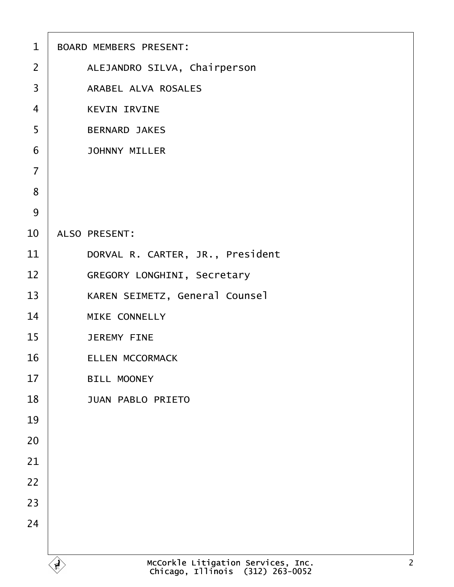| $\mathbf{1}$   | <b>BOARD MEMBERS PRESENT:</b>                                                            |
|----------------|------------------------------------------------------------------------------------------|
| $\overline{2}$ | ALEJANDRO SILVA, Chairperson                                                             |
| 3              | ARABEL ALVA ROSALES                                                                      |
| $\overline{4}$ | <b>KEVIN IRVINE</b>                                                                      |
| 5              | <b>BERNARD JAKES</b>                                                                     |
| 6              | <b>JOHNNY MILLER</b>                                                                     |
| $\overline{7}$ |                                                                                          |
| 8              |                                                                                          |
| 9              |                                                                                          |
| 10             | ALSO PRESENT:                                                                            |
| 11             | DORVAL R. CARTER, JR., President                                                         |
| 12             | GREGORY LONGHINI, Secretary                                                              |
| 13             | KAREN SEIMETZ, General Counsel                                                           |
| 14             | MIKE CONNELLY                                                                            |
| 15             | <b>JEREMY FINE</b>                                                                       |
| 16             | <b>ELLEN MCCORMACK</b>                                                                   |
| 17             | BILL MOONEY                                                                              |
| 18             | <b>JUAN PABLO PRIETO</b>                                                                 |
| 19             |                                                                                          |
| 20             |                                                                                          |
| 21             |                                                                                          |
| 22             |                                                                                          |
| 23             |                                                                                          |
| 24             |                                                                                          |
|                |                                                                                          |
|                | McCorkle Litigation Services, Inc.<br>Chicago, Illinois (312) 263-0052<br>$\overline{2}$ |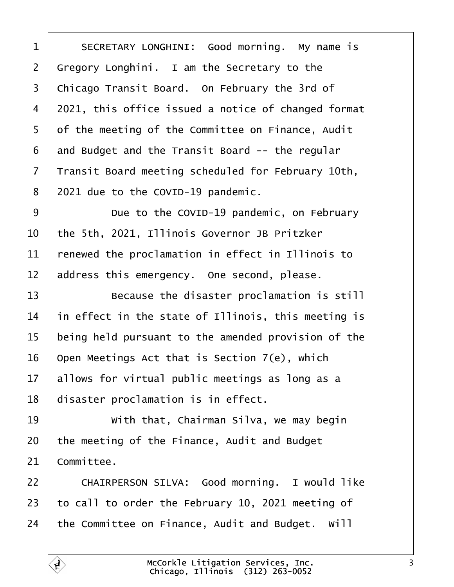<span id="page-2-0"></span>1 SECRETARY LONGHINI: Good morning. My name is Gregory Longhini. I am the Secretary to the 3 | Chicago Transit Board. On February the 3rd of 4 2021, this office issued a notice of changed format 5 of the meeting of the Committee on Finance, Audit and Budget and the Transit Board -- the regular Transit Board meeting scheduled for February 10th, | 2021 due to the COVID-19 pandemic.

9 Due to the COVID-19 pandemic, on February  $\vert$  the 5th, 2021, Illinois Governor JB Pritzker  $\vert$  renewed the proclamation in effect in Illinois to address this emergency. One second, please.

**Because the disaster proclamation is still**   $\parallel$  in effect in the state of Illinois, this meeting is being held pursuant to the amended provision of the  $\vert$  Open Meetings Act that is Section 7(e), which allows for virtual public meetings as long as a disaster proclamation is in effect.

19 With that, Chairman Silva, we may begin the meeting of the Finance, Audit and Budget Committee.

22 | CHAIRPERSON SILVA: Good morning. I would like  $\vert$  to call to order the February 10, 2021 meeting of  $\vert$  the Committee on Finance, Audit and Budget. Will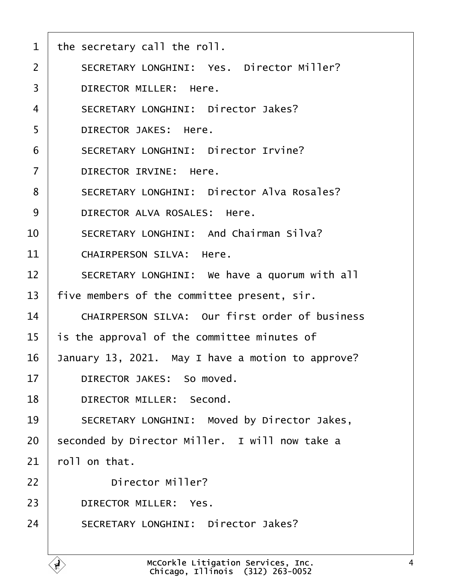<span id="page-3-0"></span>

| $\mathbf{1}$   | the secretary call the roll.                      |
|----------------|---------------------------------------------------|
| $\overline{2}$ | SECRETARY LONGHINI: Yes. Director Miller?         |
| 3              | DIRECTOR MILLER: Here.                            |
| 4              | SECRETARY LONGHINI: Director Jakes?               |
| 5              | DIRECTOR JAKES: Here.                             |
| 6              | SECRETARY LONGHINI: Director Irvine?              |
| $\overline{7}$ | DIRECTOR IRVINE: Here.                            |
| 8              | SECRETARY LONGHINI: Director Alva Rosales?        |
| 9              | DIRECTOR ALVA ROSALES: Here.                      |
| 10             | SECRETARY LONGHINI: And Chairman Silva?           |
| 11             | CHAIRPERSON SILVA: Here.                          |
| 12             | SECRETARY LONGHINI: We have a quorum with all     |
| 13             | five members of the committee present, sir.       |
| 14             | CHAIRPERSON SILVA: Our first order of business    |
| 15             | is the approval of the committee minutes of       |
| 16             | January 13, 2021. May I have a motion to approve? |
| 17             | DIRECTOR JAKES: So moved.                         |
| 18             | DIRECTOR MILLER: Second.                          |
| 19             | SECRETARY LONGHINI: Moved by Director Jakes,      |
| 20             | seconded by Director Miller. I will now take a    |
| 21             | roll on that.                                     |
| 22             | Director Miller?                                  |
| 23             | DIRECTOR MILLER: Yes.                             |
| 24             | SECRETARY LONGHINI: Director Jakes?               |
|                |                                                   |

 $\left\langle \begin{matrix} 1 \\ 1 \end{matrix} \right\rangle$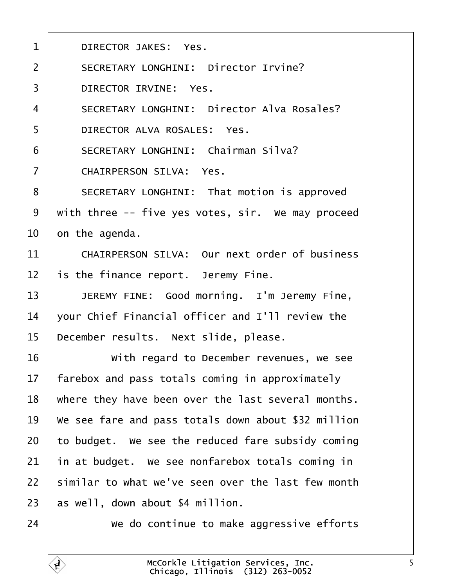<span id="page-4-0"></span>

| $\mathbf{1}$   | DIRECTOR JAKES: Yes.                                |
|----------------|-----------------------------------------------------|
| $\overline{2}$ | SECRETARY LONGHINI: Director Irvine?                |
| 3              | DIRECTOR IRVINE: Yes.                               |
| $\overline{4}$ | SECRETARY LONGHINI: Director Alva Rosales?          |
| 5              | DIRECTOR ALVA ROSALES: Yes.                         |
| 6              | SECRETARY LONGHINI: Chairman Silva?                 |
| $\overline{7}$ | CHAIRPERSON SILVA: Yes.                             |
| 8              | SECRETARY LONGHINI: That motion is approved         |
| 9              | with three -- five yes votes, sir. We may proceed   |
| 10             | on the agenda.                                      |
| 11             | CHAIRPERSON SILVA: Our next order of business       |
| 12             | is the finance report. Jeremy Fine.                 |
| 13             | JEREMY FINE: Good morning. I'm Jeremy Fine,         |
| 14             | your Chief Financial officer and I'll review the    |
| 15             | December results. Next slide, please.               |
| 16             | With regard to December revenues, we see            |
| 17             | farebox and pass totals coming in approximately     |
| 18             | where they have been over the last several months.  |
| 19             | We see fare and pass totals down about \$32 million |
| 20             | to budget. We see the reduced fare subsidy coming   |
| 21             | in at budget. We see nonfarebox totals coming in    |
| 22             | similar to what we've seen over the last few month  |
| 23             | as well, down about \$4 million.                    |
| 24             | We do continue to make aggressive efforts           |

 $\mathbf{\hat{y}}$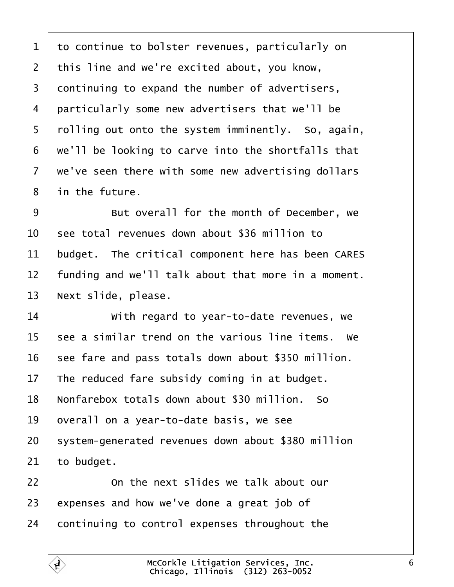<span id="page-5-0"></span> $1$  to continue to bolster revenues, particularly on  $2$  | this line and we're excited about, you know, 3 continuing to expand the number of advertisers, 4 | particularly some new advertisers that we'll be 5 | rolling out onto the system imminently. So, again,  $6$   $\mid$  we'll be looking to carve into the shortfalls that  $7$   $\vert$  we've seen there with some new advertising dollars 8 | in the future.

9 **But overall for the month of December, we**  $10<sup>1</sup>$  see total revenues down about \$36 million to  $11$  budget. The critical component here has been CARES  $12$   $\parallel$  funding and we'll talk about that more in a moment. 13 | Next slide, please.

14 **I** *with regard to year-to-date revenues, we*  $15$  see a similar trend on the various line items. We  $16$  see fare and pass totals down about \$350 million. 17 The reduced fare subsidy coming in at budget. 18 | Nonfarebox totals down about \$30 million. So 19 | overall on a year-to-date basis, we see 20 | system-generated revenues down about \$380 million  $21$  to budget.

22 **I On the next slides we talk about our**  $23$  expenses and how we've done a great job of  $24$  continuing to control expenses throughout the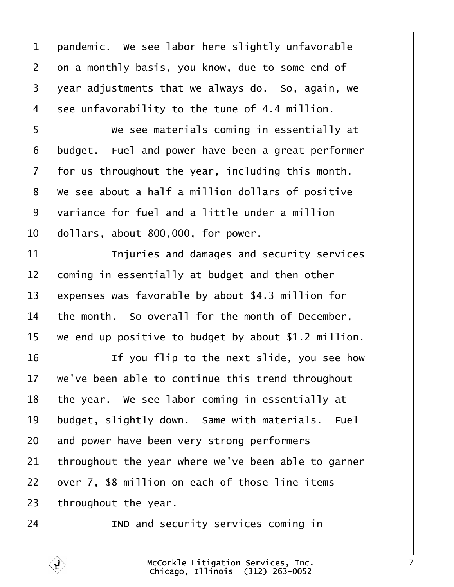<span id="page-6-0"></span> pandemic. We see labor here slightly unfavorable 2 on a monthly basis, you know, due to some end of year adjustments that we always do. So, again, we 4 see unfavorability to the tune of 4.4 million.

**We see materials coming in essentially at** 6 budget. Fuel and power have been a great performer  $\vert$  for us throughout the year, including this month.  $\mid$  We see about a half a million dollars of positive 9 variance for fuel and a little under a million  $\vert$  dollars, about 800,000, for power.

**I Injuries and damages and security services**  coming in essentially at budget and then other 13 expenses was favorable by about \$4.3 million for 14 | the month. So overall for the month of December, we end up positive to budget by about \$1.2 million.

16· · · · · · If you flip to the next slide, you see how  $\vert$  we've been able to continue this trend throughout | the year. We see labor coming in essentially at budget, slightly down. Same with materials. Fuel and power have been very strong performers throughout the year where we've been able to garner over 7, \$8 million on each of those line items throughout the year.

Ę,

**IND** and security services coming in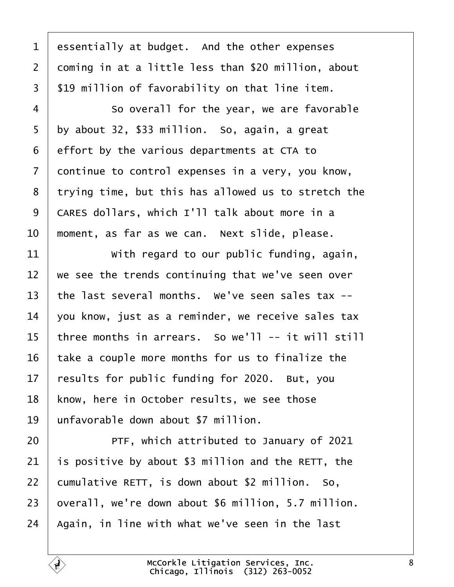<span id="page-7-0"></span> essentially at budget. And the other expenses coming in at a little less than \$20 million, about  $\frac{1}{2}$  \$19 million of favorability on that line item.

4 So overall for the year, we are favorable by about 32, \$33 million. So, again, a great effort by the various departments at CTA to continue to control expenses in a very, you know, 8 trying time, but this has allowed us to stretch the 9 | CARES dollars, which I'll talk about more in a  $\vert$  moment, as far as we can. Next slide, please.

**With regard to our public funding, again**, we see the trends continuing that we've seen over  $\vert$  the last several months. We've seen sales tax --  $\vert$  you know, just as a reminder, we receive sales tax | three months in arrears. So we'll -- it will still take a couple more months for us to finalize the results for public funding for 2020. But, you 18 | know, here in October results, we see those 19 | unfavorable down about \$7 million.

**PTF, which attributed to January of 2021**  $\vert$  is positive by about \$3 million and the RETT, the 22 | cumulative RETT, is down about  $$2$  million. So, | overall, we're down about \$6 million, 5.7 million. | Again, in line with what we've seen in the last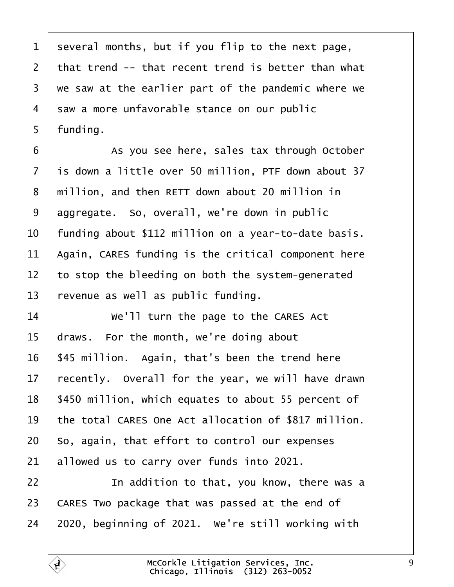<span id="page-8-0"></span> several months, but if you flip to the next page,  $\vert$  that trend -- that recent trend is better than what we saw at the earlier part of the pandemic where we 4 saw a more unfavorable stance on our public  $5 \mid$  funding.

6 | As you see here, sales tax through October is down a little over 50 million, PTF down about 37 8 | million, and then RETT down about 20 million in aggregate. So, overall, we're down in public  $\vert$  funding about \$112 million on a year-to-date basis. | Again, CARES funding is the critical component here to stop the bleeding on both the system-generated revenue as well as public funding.

14 We'll turn the page to the CARES Act draws. For the month, we're doing about | \$45 million. Again, that's been the trend here recently. Overall for the year, we will have drawn 18 | \$450 million, which equates to about 55 percent of 19 the total CARES One Act allocation of \$817 million. So, again, that effort to control our expenses allowed us to carry over funds into 2021.

**I In addition to that, you know, there was a**   $\overline{\phantom{a}}$  CARES Two package that was passed at the end of | 2020, beginning of 2021. We're still working with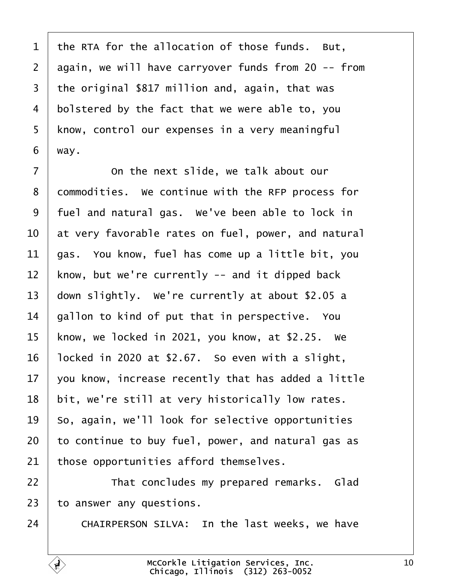<span id="page-9-0"></span> the RTA for the allocation of those funds. But, again, we will have carryover funds from 20 -- from the original \$817 million and, again, that was bolstered by the fact that we were able to, you 5 | know, control our expenses in a very meaningful | way.

7 | Conthe next slide, we talk about our 8 | commodities. We continue with the RFP process for  $\vert$  fuel and natural gas. We've been able to lock in  $\vert$  at very favorable rates on fuel, power, and natural  $\vert$  gas. You know, fuel has come up a little bit, you know, but we're currently -- and it dipped back  $\vert$  down slightly. We're currently at about \$2.05 a | gallon to kind of put that in perspective. You 15 | know, we locked in 2021, you know, at  $$2.25$ . We | locked in 2020 at \$2.67. So even with a slight,  $\vert$  you know, increase recently that has added a little | bit, we're still at very historically low rates. so, again, we'll look for selective opportunities to continue to buy fuel, power, and natural gas as those opportunities afford themselves.

22 | That concludes my prepared remarks. Glad to answer any questions.

24 CHAIRPERSON SILVA: In the last weeks, we have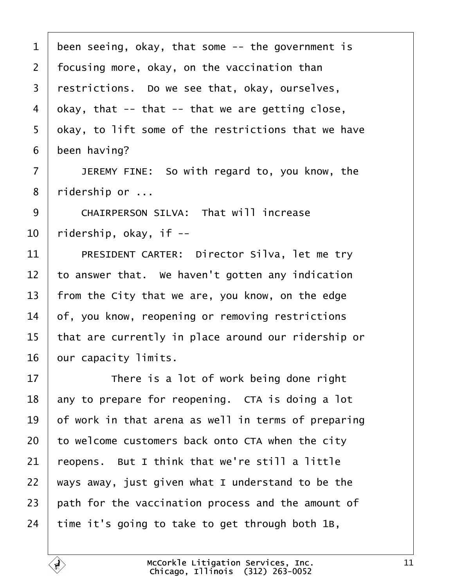<span id="page-10-0"></span> been seeing, okay, that some -- the government is | focusing more, okay, on the vaccination than restrictions. Do we see that, okay, ourselves, 4 | okay, that  $-$  that  $-$  that we are getting close, 5 | okay, to lift some of the restrictions that we have been having? 7 | JEREMY FINE: So with regard to, you know, the | ridership or ... 9 CHAIRPERSON SILVA: That will increase | ridership, okay, if  $-$ 11 PRESIDENT CARTER: Director Silva, let me try  $\vert$  to answer that. We haven't gotten any indication 13 | from the City that we are, you know, on the edge of, you know, reopening or removing restrictions | that are currently in place around our ridership or 16 | our capacity limits. 17 There is a lot of work being done right any to prepare for reopening. CTA is doing a lot  $\vert$  of work in that arena as well in terms of preparing to welcome customers back onto CTA when the city  $\vert$  reopens. But I think that we're still a little  $\mid$  ways away, just given what I understand to be the path for the vaccination process and the amount of time it's going to take to get through both 1B,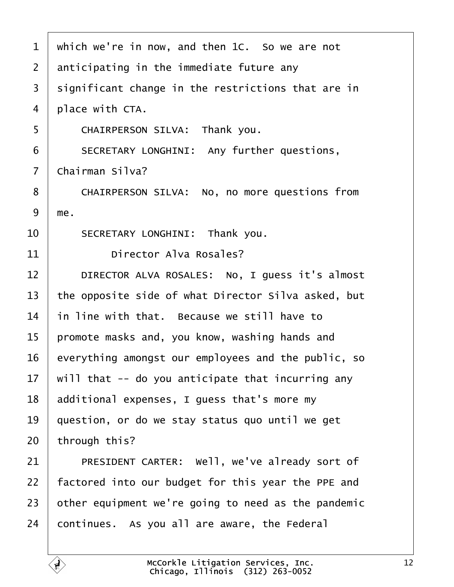<span id="page-11-0"></span>

| $\mathbf{1}$   | which we're in now, and then 1C. So we are not      |
|----------------|-----------------------------------------------------|
| $\overline{2}$ | anticipating in the immediate future any            |
| 3              | significant change in the restrictions that are in  |
| 4              | place with CTA.                                     |
| 5              | CHAIRPERSON SILVA: Thank you.                       |
| 6              | SECRETARY LONGHINI: Any further questions,          |
| $\overline{7}$ | Chairman Silva?                                     |
| 8              | CHAIRPERSON SILVA: No, no more questions from       |
| 9              | me.                                                 |
| 10             | SECRETARY LONGHINI: Thank you.                      |
| 11             | Director Alva Rosales?                              |
| 12             | DIRECTOR ALVA ROSALES: No, I guess it's almost      |
| 13             | the opposite side of what Director Silva asked, but |
| 14             | in line with that. Because we still have to         |
| 15             | promote masks and, you know, washing hands and      |
| 16             | everything amongst our employees and the public, so |
| 17             | will that -- do you anticipate that incurring any   |
| 18             | additional expenses, I guess that's more my         |
| 19             | question, or do we stay status quo until we get     |
| 20             | through this?                                       |
| 21             | PRESIDENT CARTER: Well, we've already sort of       |
| 22             | factored into our budget for this year the PPE and  |
| 23             | other equipment we're going to need as the pandemic |
| 24             | continues. As you all are aware, the Federal        |
|                |                                                     |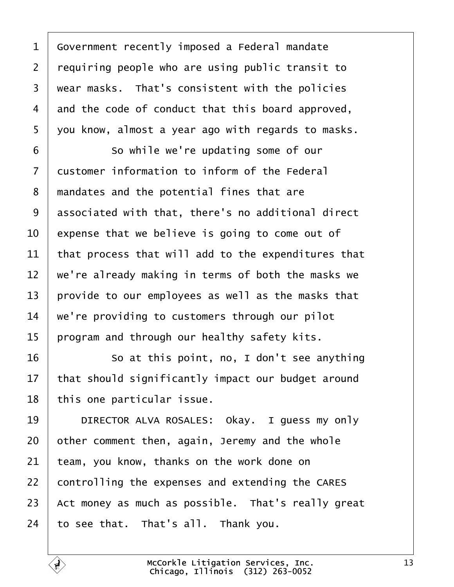<span id="page-12-0"></span>1 Government recently imposed a Federal mandate requiring people who are using public transit to  $\mid$  wear masks. That's consistent with the policies and the code of conduct that this board approved, 5 | you know, almost a year ago with regards to masks. 6 So while we're updating some of our customer information to inform of the Federal  $\mid$  mandates and the potential fines that are associated with that, there's no additional direct  $\vert$  expense that we believe is going to come out of  $\vert$  that process that will add to the expenditures that  $\parallel$  we're already making in terms of both the masks we  $\vert$  provide to our employees as well as the masks that  $\vert$  we're providing to customers through our pilot | program and through our healthy safety kits.

16 So at this point, no, I don't see anything that should significantly impact our budget around | this one particular issue.

19 | DIRECTOR ALVA ROSALES: Okay. I guess my only other comment then, again, Jeremy and the whole team, you know, thanks on the work done on controlling the expenses and extending the CARES  $\vert$  Act money as much as possible. That's really great to see that. That's all. Thank you.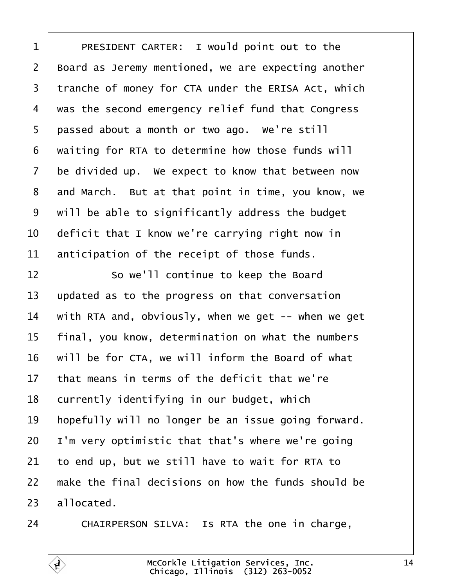<span id="page-13-0"></span>1 | PRESIDENT CARTER: I would point out to the 2 | Board as Jeremy mentioned, we are expecting another 3 | tranche of money for CTA under the ERISA Act, which  $4 \mid$  was the second emergency relief fund that Congress 5 | passed about a month or two ago. We're still waiting for RTA to determine how those funds will be divided up. We expect to know that between now and March. But at that point in time, you know, we  $\mid$  will be able to significantly address the budget  $\vert$  deficit that I know we're carrying right now in anticipation of the receipt of those funds.

12 So we'll continue to keep the Board updated as to the progress on that conversation  $\parallel$  with RTA and, obviously, when we get -- when we get | final, you know, determination on what the numbers will be for CTA, we will inform the Board of what  $\pm$  that means in terms of the deficit that we're currently identifying in our budget, which 19 | hopefully will no longer be an issue going forward. | I'm very optimistic that that's where we're going to end up, but we still have to wait for RTA to  $\pm$  make the final decisions on how the funds should be allocated.

24 CHAIRPERSON SILVA: Is RTA the one in charge,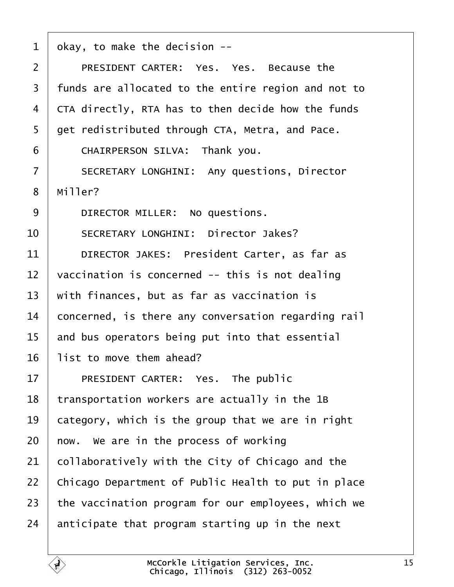<span id="page-14-0"></span>

| $\mathbf{1}$   | okay, to make the decision --                       |
|----------------|-----------------------------------------------------|
| $\overline{2}$ | PRESIDENT CARTER: Yes. Yes. Because the             |
| 3              | funds are allocated to the entire region and not to |
| 4              | CTA directly, RTA has to then decide how the funds  |
| 5              | get redistributed through CTA, Metra, and Pace.     |
| 6              | CHAIRPERSON SILVA: Thank you.                       |
| $\overline{7}$ | SECRETARY LONGHINI: Any questions, Director         |
| 8              | Miller?                                             |
| 9              | DIRECTOR MILLER: No questions.                      |
| 10             | SECRETARY LONGHINI: Director Jakes?                 |
| 11             | DIRECTOR JAKES: President Carter, as far as         |
| 12             | vaccination is concerned -- this is not dealing     |
| 13             | with finances, but as far as vaccination is         |
| 14             | concerned, is there any conversation regarding rail |
| 15             | and bus operators being put into that essential     |
| 16             | list to move them ahead?                            |
| 17             | PRESIDENT CARTER: Yes. The public                   |
| 18             | transportation workers are actually in the 1B       |
| 19             | category, which is the group that we are in right   |
| 20             | now. We are in the process of working               |
| 21             | collaboratively with the City of Chicago and the    |
| 22             | Chicago Department of Public Health to put in place |
| 23             | the vaccination program for our employees, which we |
| 24             | anticipate that program starting up in the next     |

É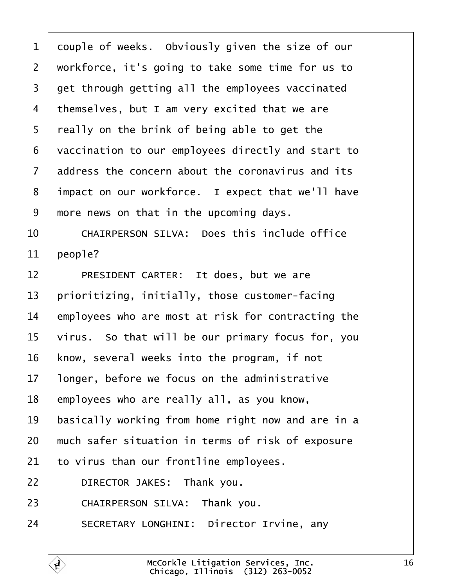<span id="page-15-0"></span> couple of weeks. Obviously given the size of our 2 | workforce, it's going to take some time for us to  $3 \mid$  get through getting all the employees vaccinated themselves, but I am very excited that we are | really on the brink of being able to get the 6 vaccination to our employees directly and start to address the concern about the coronavirus and its 8 | impact on our workforce. I expect that we'll have  $\mid$  more news on that in the upcoming days.

10 CHAIRPERSON SILVA: Does this include office | people?

12 PRESIDENT CARTER: It does, but we are | prioritizing, initially, those customer-facing employees who are most at risk for contracting the virus. So that will be our primary focus for, you | know, several weeks into the program, if not | longer, before we focus on the administrative | employees who are really all, as you know, basically working from home right now and are in a  $\mid$  much safer situation in terms of risk of exposure to virus than our frontline employees. **DIRECTOR JAKES:** Thank you. 23 CHAIRPERSON SILVA: Thank you. 24 SECRETARY LONGHINI: Director Irvine, any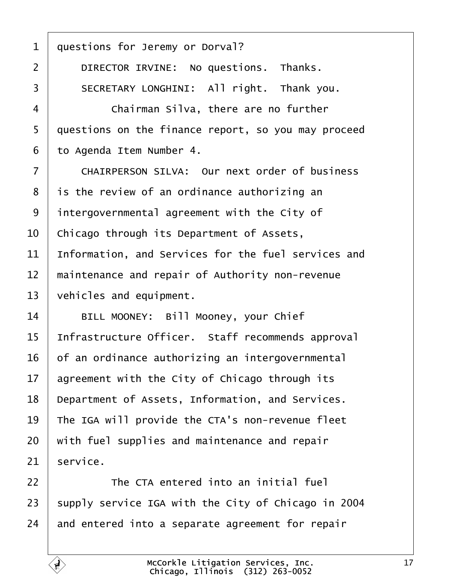<span id="page-16-0"></span>1 questions for Jeremy or Dorval? 2 DIRECTOR IRVINE: No questions. Thanks. 3 | SECRETARY LONGHINI: All right. Thank you. ·4· · · · · · Chairman Silva, there are no further  $5$  auestions on the finance report, so you may proceed 6 | to Agenda Item Number 4. 7 | CHAIRPERSON SILVA: Our next order of business  $8$  | is the review of an ordinance authorizing an  $9$  intergovernmental agreement with the City of  $10$   $\vert$  Chicago through its Department of Assets,  $11$  Information, and Services for the fuel services and  $12$   $\parallel$  maintenance and repair of Authority non-revenue  $13$  vehicles and equipment. 14 | BILL MOONEY: Bill Mooney, your Chief 15 Infrastructure Officer. Staff recommends approval  $16$  of an ordinance authorizing an intergovernmental  $17$  agreement with the City of Chicago through its 18 Department of Assets, Information, and Services. 19  $\parallel$  The IGA will provide the CTA's non-revenue fleet  $20$   $\vert$  with fuel supplies and maintenance and repair  $21$  service. 22· · · · · · The CTA entered into an initial fuel 23 | supply service IGA with the City of Chicago in 2004

> McCorkle Litigation Services, Inc. Chicago, Illinois· (312) 263-0052

 $24$  and entered into a separate agreement for repair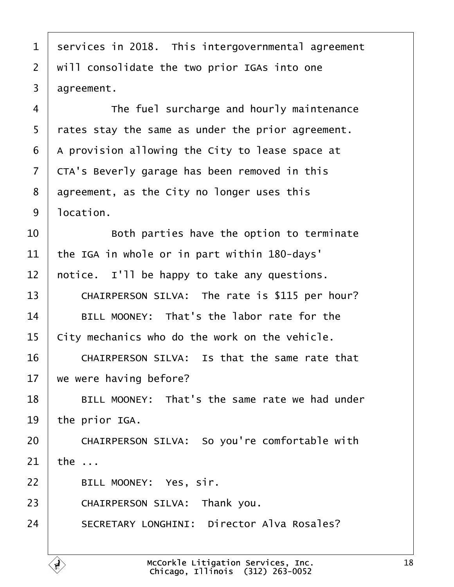<span id="page-17-0"></span>1 | services in 2018. This intergovernmental agreement  $2$   $\mid$  will consolidate the two prior IGAs into one  $3 \mid \text{agreement.}$ 

4 The fuel surcharge and hourly maintenance  $5$  | rates stay the same as under the prior agreement.  $6$  | A provision allowing the City to lease space at 7 CTA's Beverly garage has been removed in this  $8$  agreement, as the City no longer uses this  $9 \mid$  location.

 $10$   $\vert$  80th parties have the option to terminate  $11$  the IGA in whole or in part within 180-days'  $12$  | notice. I'll be happy to take any questions.

13 CHAIRPERSON SILVA: The rate is \$115 per hour?  $14$  BILL MOONEY: That's the labor rate for the  $15$   $\vert$  City mechanics who do the work on the vehicle.

16 CHAIRPERSON SILVA: Is that the same rate that  $17$  we were having before?

18 | BILL MOONEY: That's the same rate we had under  $19$  the prior IGA.

20 CHAIRPERSON SILVA: So you're comfortable with  $21$  the ...

22 | BILL MOONEY: Yes, sir.

23 CHAIRPERSON SILVA: Thank you.

24 | SECRETARY LONGHINI: Director Alva Rosales?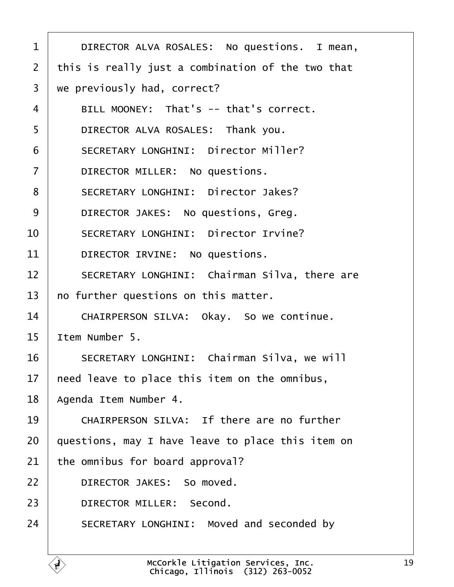<span id="page-18-0"></span>

| $\mathbf 1$    | DIRECTOR ALVA ROSALES: No questions. I mean,      |
|----------------|---------------------------------------------------|
| $\overline{2}$ | this is really just a combination of the two that |
| 3              | we previously had, correct?                       |
| 4              | BILL MOONEY: That's -- that's correct.            |
| 5              | DIRECTOR ALVA ROSALES: Thank you.                 |
| 6              | SECRETARY LONGHINI: Director Miller?              |
| $\overline{7}$ | DIRECTOR MILLER: No questions.                    |
| 8              | SECRETARY LONGHINI: Director Jakes?               |
| 9              | DIRECTOR JAKES: No questions, Greg.               |
| 10             | SECRETARY LONGHINI: Director Irvine?              |
| 11             | DIRECTOR IRVINE: No questions.                    |
| 12             | SECRETARY LONGHINI: Chairman Silva, there are     |
| 13             | no further questions on this matter.              |
| 14             | CHAIRPERSON SILVA: Okay. So we continue.          |
| 15             | Item Number 5.                                    |
| 16             | SECRETARY LONGHINI: Chairman Silva, we will       |
| $17 \,$        | need leave to place this item on the omnibus,     |
| 18             | Agenda Item Number 4.                             |
| 19             | CHAIRPERSON SILVA: If there are no further        |
| 20             | questions, may I have leave to place this item on |
| 21             | the omnibus for board approval?                   |
| 22             | DIRECTOR JAKES: So moved.                         |
| 23             | DIRECTOR MILLER: Second.                          |
| 24             | SECRETARY LONGHINI: Moved and seconded by         |
|                |                                                   |

Ē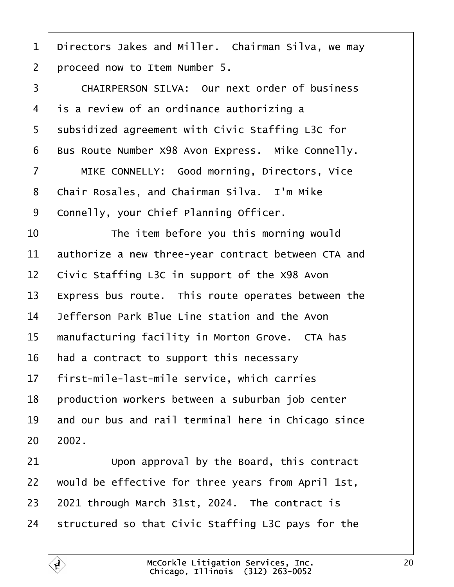<span id="page-19-0"></span>

1 | Directors Jakes and Miller. Chairman Silva, we may 2 | proceed now to Item Number 5.

3 | CHAIRPERSON SILVA: Our next order of business  $4$  is a review of an ordinance authorizing a 5 Subsidized agreement with Civic Staffing L3C for  $6$  Bus Route Number X98 Avon Express. Mike Connelly.

7 | MIKE CONNELLY: Good morning, Directors, Vice 8 | Chair Rosales, and Chairman Silva. I'm Mike 9 | Connelly, your Chief Planning Officer.

**I b** The item before you this morning would authorize a new three-year contract between CTA and | Civic Staffing L3C in support of the X98 Avon | Express bus route. This route operates between the  $\overline{ }$  Jefferson Park Blue Line station and the Avon manufacturing facility in Morton Grove. CTA has | had a contract to support this necessary | first-mile-last-mile service, which carries | production workers between a suburban job center and our bus and rail terminal here in Chicago since  $20 \mid 2002$ .

 Upon approval by the Board, this contract would be effective for three years from April 1st, 2021 through March 31st, 2024. The contract is 24 Structured so that Civic Staffing L3C pays for the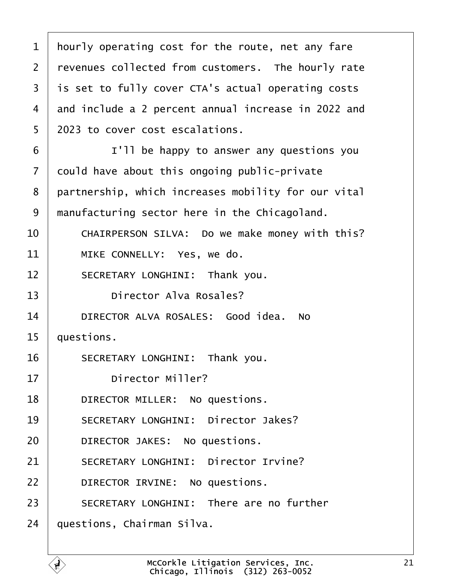<span id="page-20-0"></span> $1$  | hourly operating cost for the route, net any fare 2 | revenues collected from customers. The hourly rate 3 | is set to fully cover CTA's actual operating costs 4 and include a 2 percent annual increase in 2022 and 5 2023 to cover cost escalations. 6 **I I'll be happy to answer any questions you**  $7$  could have about this ongoing public-private 8 partnership, which increases mobility for our vital 9 | manufacturing sector here in the Chicagoland. 10 CHAIRPERSON SILVA: Do we make money with this? 11 MIKE CONNELLY: Yes, we do. 12 SECRETARY LONGHINI: Thank you. 13 **I Director Alva Rosales?** 14 DIRECTOR ALVA ROSALES: Good idea. No  $15$  | questions. 16 SECRETARY LONGHINI: Thank you. 17 **birector Miller?** 18 **DIRECTOR MILLER:** No questions. 19 SECRETARY LONGHINI: Director Jakes? 20 **DIRECTOR JAKES:** No questions. 21 SECRETARY LONGHINI: Director Irvine? 22 **DIRECTOR IRVINE:** No questions. 23 SECRETARY LONGHINI: There are no further  $24$  | questions, Chairman Silva.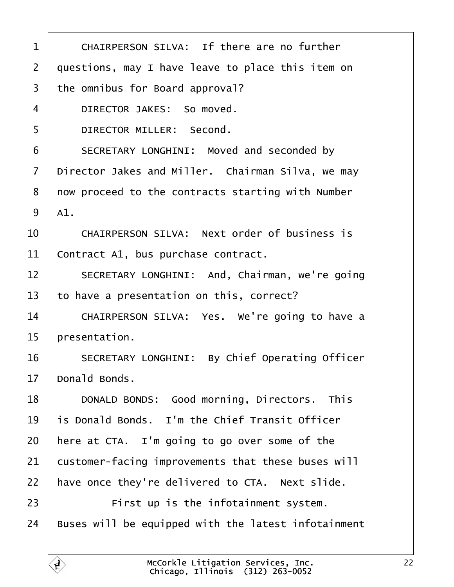<span id="page-21-0"></span>

| $\mathbf{1}$   | CHAIRPERSON SILVA: If there are no further          |
|----------------|-----------------------------------------------------|
| $\overline{2}$ | questions, may I have leave to place this item on   |
| 3              | the omnibus for Board approval?                     |
| 4              | DIRECTOR JAKES: So moved.                           |
| 5              | DIRECTOR MILLER: Second.                            |
| 6              | SECRETARY LONGHINI: Moved and seconded by           |
| $\overline{7}$ | Director Jakes and Miller. Chairman Silva, we may   |
| 8              | now proceed to the contracts starting with Number   |
| 9              | A1.                                                 |
| 10             | CHAIRPERSON SILVA: Next order of business is        |
| 11             | Contract A1, bus purchase contract.                 |
| 12             | SECRETARY LONGHINI: And, Chairman, we're going      |
| 13             | to have a presentation on this, correct?            |
| 14             | CHAIRPERSON SILVA: Yes. We're going to have a       |
| 15             | presentation.                                       |
| 16             | SECRETARY LONGHINI: By Chief Operating Officer      |
| 17             | Donald Bonds.                                       |
| 18             | DONALD BONDS: Good morning, Directors. This         |
| 19             | is Donald Bonds. I'm the Chief Transit Officer      |
| 20             | here at CTA. I'm going to go over some of the       |
| 21             | customer-facing improvements that these buses will  |
| 22             | have once they're delivered to CTA. Next slide.     |
| 23             | First up is the infotainment system.                |
| 24             | Buses will be equipped with the latest infotainment |
|                |                                                     |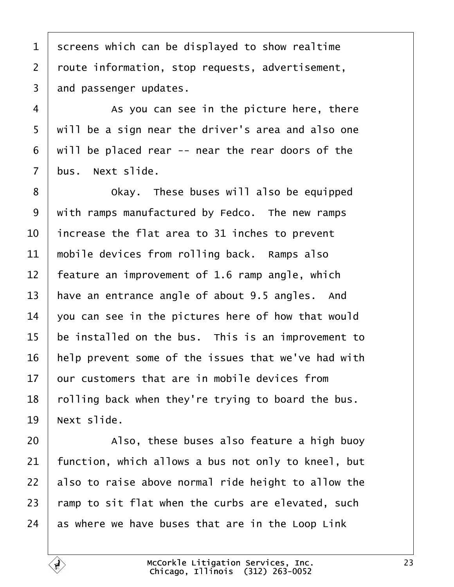<span id="page-22-0"></span>1 Screens which can be displayed to show realtime 2 | route information, stop requests, advertisement, and passenger updates.

4 a s you can see in the picture here, there 5 | will be a sign near the driver's area and also one | will be placed rear -- near the rear doors of the bus. Next slide.

**8** Okay. These buses will also be equipped with ramps manufactured by Fedco. The new ramps  $\vert$  increase the flat area to 31 inches to prevent  $\parallel$  mobile devices from rolling back. Ramps also | feature an improvement of 1.6 ramp angle, which  $\vert$  have an entrance angle of about 9.5 angles. And  $\vert$  you can see in the pictures here of how that would be installed on the bus. This is an improvement to | help prevent some of the issues that we've had with  $\vert$  our customers that are in mobile devices from  $\mid$  rolling back when they're trying to board the bus. | Next slide.

**Also, these buses also feature a high buoy**  | function, which allows a bus not only to kneel, but also to raise above normal ride height to allow the  $\mid$  ramp to sit flat when the curbs are elevated, such as where we have buses that are in the Loop Link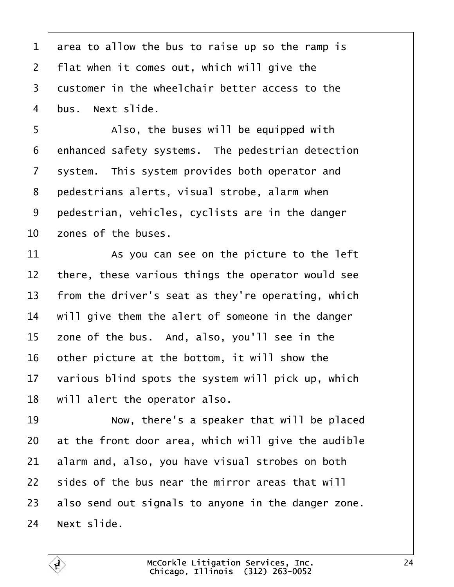<span id="page-23-0"></span> area to allow the bus to raise up so the ramp is | flat when it comes out, which will give the  $\vert$  customer in the wheelchair better access to the bus. Next slide.

5 | Also, the buses will be equipped with enhanced safety systems. The pedestrian detection system. This system provides both operator and 8 | pedestrians alerts, visual strobe, alarm when pedestrian, vehicles, cyclists are in the danger  $\overline{\phantom{0}}$  zones of the buses.

  $\vert$  as you can see on the picture to the left there, these various things the operator would see  $\vert$  from the driver's seat as they're operating, which  $\parallel$  will give them the alert of someone in the danger zone of the bus. And, also, you'll see in the | other picture at the bottom, it will show the  $\vert$  various blind spots the system will pick up, which | will alert the operator also.

**I b** Now, there's a speaker that will be placed at the front door area, which will give the audible alarm and, also, you have visual strobes on both  $\pm$  sides of the bus near the mirror areas that will also send out signals to anyone in the danger zone. Next slide.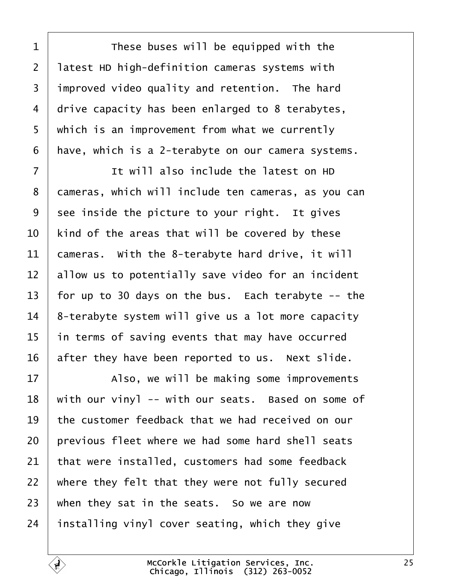<span id="page-24-0"></span>1 These buses will be equipped with the 2 | latest HD high-definition cameras systems with improved video quality and retention. The hard drive capacity has been enlarged to 8 terabytes, 5 | which is an improvement from what we currently | have, which is a 2-terabyte on our camera systems.

·7· · · · · · It will also include the latest on HD 8 | cameras, which will include ten cameras, as you can see inside the picture to your right. It gives  $\vert$  kind of the areas that will be covered by these  $\vert$  cameras. With the 8-terabyte hard drive, it will allow us to potentially save video for an incident  $\vert$  for up to 30 days on the bus. Each terabyte -- the  $8$ -terabyte system will give us a lot more capacity in terms of saving events that may have occurred after they have been reported to us. Next slide.

17 | Also, we will be making some improvements  $\mid$  with our vinyl -- with our seats. Based on some of  $\pm$  the customer feedback that we had received on our | previous fleet where we had some hard shell seats that were installed, customers had some feedback  $\mid$  where they felt that they were not fully secured when they sat in the seats. So we are now installing vinyl cover seating, which they give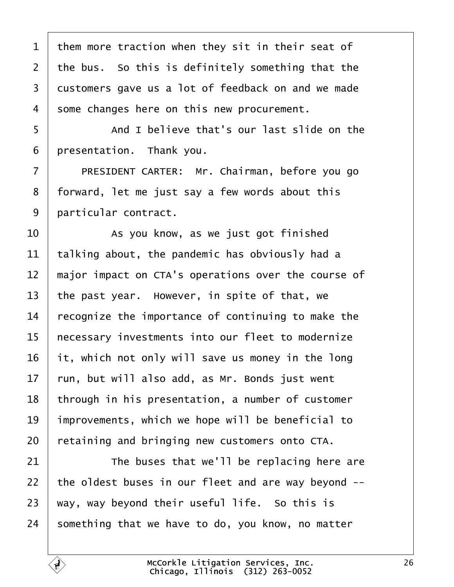the bus. So this is definitely something that the 3 customers gave us a lot of feedback on and we made 4 Some changes here on this new procurement. 5 | And I believe that's our last slide on the | presentation. Thank you. 7 | PRESIDENT CARTER: Mr. Chairman, before you go 8 | forward, let me just say a few words about this 9 | particular contract.  $\vert$  as you know, as we just got finished talking about, the pandemic has obviously had a  $\parallel$  major impact on CTA's operations over the course of  $\vert$  the past year. However, in spite of that, we  $\mid$  recognize the importance of continuing to make the 15 | necessary investments into our fleet to modernize it, which not only will save us money in the long  $\vert$  run, but will also add, as Mr. Bonds just went | through in his presentation, a number of customer | improvements, which we hope will be beneficial to retaining and bringing new customers onto CTA.  $\parallel$  The buses that we'll be replacing here are  $\vert$  the oldest buses in our fleet and are way beyond  $-$ - way, way beyond their useful life. So this is something that we have to do, you know, no matter

<span id="page-25-0"></span>them more traction when they sit in their seat of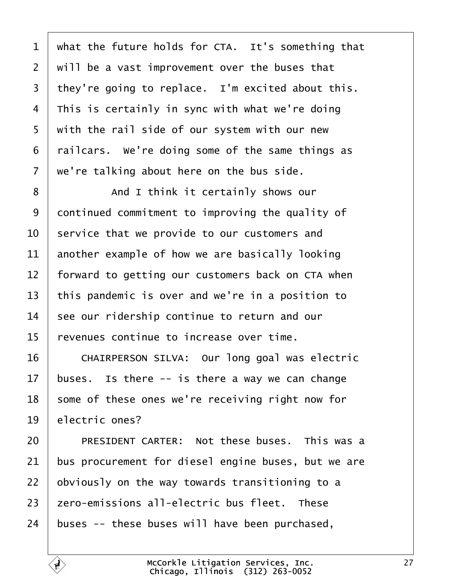<span id="page-26-0"></span> what the future holds for CTA. It's something that  $\mid$  will be a vast improvement over the buses that | they're going to replace. I'm excited about this. This is certainly in sync with what we're doing  $\mid$  with the rail side of our system with our new railcars. We're doing some of the same things as  $\vert$  we're talking about here on the bus side.

8 and I think it certainly shows our 9 continued commitment to improving the quality of  $\vert$  service that we provide to our customers and another example of how we are basically looking  $\parallel$  forward to getting our customers back on CTA when  $\vert$  this pandemic is over and we're in a position to see our ridership continue to return and our  $\vert$  revenues continue to increase over time.

16 CHAIRPERSON SILVA: Our long goal was electric 17 buses. Is there  $-$  is there a way we can change some of these ones we're receiving right now for 19 electric ones?

20 PRESIDENT CARTER: Not these buses. This was a bus procurement for diesel engine buses, but we are obviously on the way towards transitioning to a  $\vert$  zero-emissions all-electric bus fleet. These buses -- these buses will have been purchased,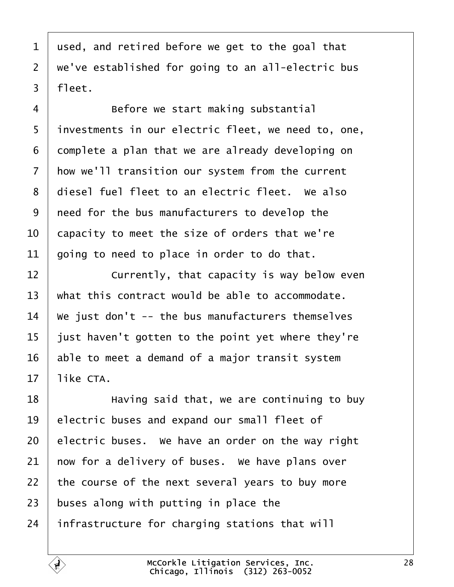<span id="page-27-0"></span> used, and retired before we get to the goal that  $2 \mid$  we've established for going to an all-electric bus  $3 \mid$  fleet.

4 Before we start making substantial 5 | investments in our electric fleet, we need to, one, complete a plan that we are already developing on 7 | how we'll transition our system from the current 8 | diesel fuel fleet to an electric fleet. We also  $\vert$  need for the bus manufacturers to develop the  $\vert$  capacity to meet the size of orders that we're aoing to need to place in order to do that.

**I Currently, that capacity is way below even**  what this contract would be able to accommodate.  $\parallel$  We just don't -- the bus manufacturers themselves | just haven't gotten to the point yet where they're able to meet a demand of a major transit system like CTA.

**I EXECUTE:** Having said that, we are continuing to buy 19 electric buses and expand our small fleet of electric buses. We have an order on the way right  $\vert$  now for a delivery of buses. We have plans over  $\pm$  the course of the next several years to buy more buses along with putting in place the infrastructure for charging stations that will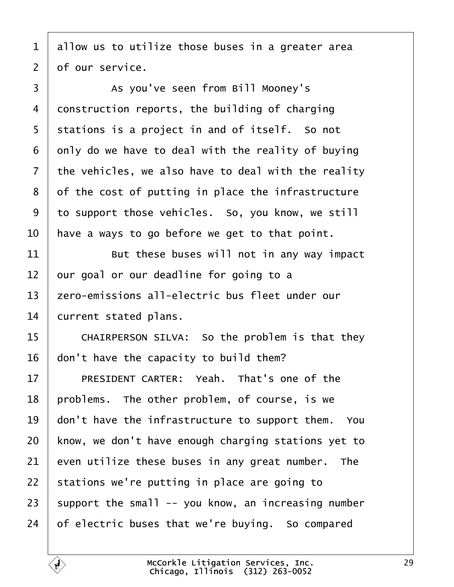<span id="page-28-0"></span> allow us to utilize those buses in a greater area of our service.

3 | As you've seen from Bill Mooney's construction reports, the building of charging stations is a project in and of itself. So not only do we have to deal with the reality of buying the vehicles, we also have to deal with the reality of the cost of putting in place the infrastructure to support those vehicles. So, you know, we still  $\vert$  have a ways to go before we get to that point.

 But these buses will not in any way impact our goal or our deadline for going to a 13 | zero-emissions all-electric bus fleet under our current stated plans.

15 CHAIRPERSON SILVA: So the problem is that they don't have the capacity to build them?

17 PRESIDENT CARTER: Yeah. That's one of the | problems. The other problem, of course, is we  $\parallel$  don't have the infrastructure to support them. You know, we don't have enough charging stations yet to even utilize these buses in any great number. The stations we're putting in place are going to support the small -- you know, an increasing number of electric buses that we're buying. So compared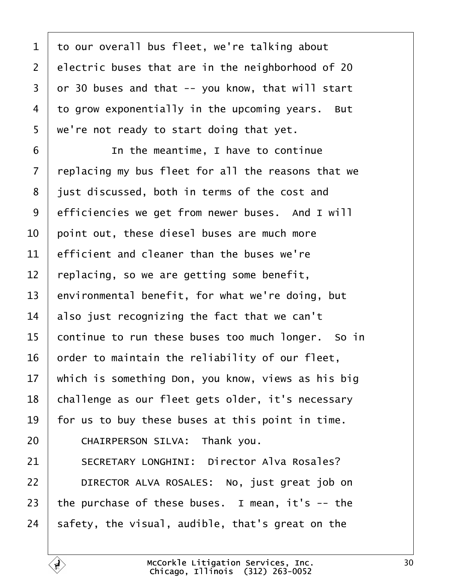<span id="page-29-0"></span> to our overall bus fleet, we're talking about electric buses that are in the neighborhood of 20 or 30 buses and that  $-$  you know, that will start to grow exponentially in the upcoming years. But  $5 \mid$  we're not ready to start doing that yet.

**IDED** In the meantime, I have to continue  $\vert$  replacing my bus fleet for all the reasons that we 8 iust discussed, both in terms of the cost and 9 efficiencies we get from newer buses. And I will  $\vert$  point out, these diesel buses are much more efficient and cleaner than the buses we're  $\mid$  replacing, so we are getting some benefit, environmental benefit, for what we're doing, but also just recognizing the fact that we can't continue to run these buses too much longer. So in order to maintain the reliability of our fleet, which is something Don, you know, views as his big 18 | challenge as our fleet gets older, it's necessary  $\vert$  for us to buy these buses at this point in time. **CHAIRPERSON SILVA:** Thank you. 21 SECRETARY LONGHINI: Director Alva Rosales? **DIRECTOR ALVA ROSALES:** No, just great job on  $\vert$  the purchase of these buses. I mean, it's -- the  $\vert$  safety, the visual, audible, that's great on the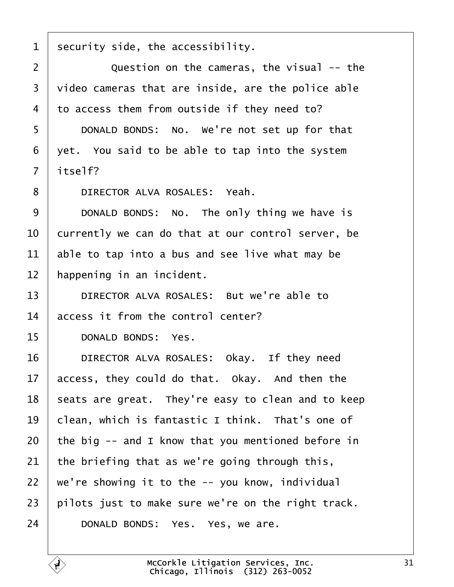<span id="page-30-0"></span> $1$  security side, the accessibility.

2 | Question on the cameras, the visual -- the  $3$   $\overline{\phantom{a}}$  video cameras that are inside, are the police able  $4$  to access them from outside if they need to?

5 DONALD BONDS: No. We're not set up for that  $6$   $\vert$  yet. You said to be able to tap into the system  $7$  | itself?

8 DIRECTOR ALVA ROSALES: Yeah.

9 DONALD BONDS: No. The only thing we have is  $\vert$  currently we can do that at our control server, be able to tap into a bus and see live what may be | happening in an incident.

13 **DIRECTOR ALVA ROSALES:** But we're able to  $14$  access it from the control center?

15 DONALD BONDS: Yes.

16 DIRECTOR ALVA ROSALES: Okay. If they need access, they could do that. Okay. And then the seats are great. They're easy to clean and to keep clean, which is fantastic I think. That's one of  $\vert$  the big -- and I know that you mentioned before in 21 the briefing that as we're going through this,  $\mid$  we're showing it to the  $\sim$  you know, individual pilots just to make sure we're on the right track. 24 DONALD BONDS: Yes. Yes, we are.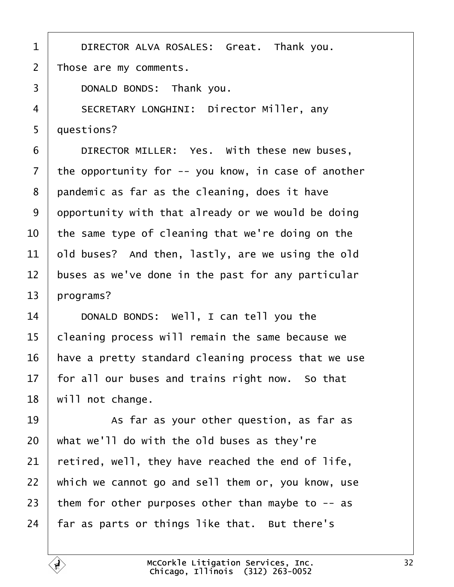<span id="page-31-0"></span>1 DIRECTOR ALVA ROSALES: Great. Thank you. 2 | Those are my comments. **DONALD BONDS:** Thank you. 4 | SECRETARY LONGHINI: Director Miller, any 5 | questions? **DIRECTOR MILLER:** Yes. with these new buses, the opportunity for  $-$  you know, in case of another | pandemic as far as the cleaning, does it have opportunity with that already or we would be doing  $\vert$  the same type of cleaning that we're doing on the old buses? And then, lastly, are we using the old  $\parallel$  buses as we've done in the past for any particular | programs? 14 DONALD BONDS: Well, I can tell you the  $\mid$  cleaning process will remain the same because we | have a pretty standard cleaning process that we use | for all our buses and trains right now. So that | will not change. **8** · **As far as your other question, as far as**  what we'll do with the old buses as they're retired, well, they have reached the end of life, which we cannot go and sell them or, you know, use 23 them for other purposes other than maybe to  $-$  as | far as parts or things like that. But there's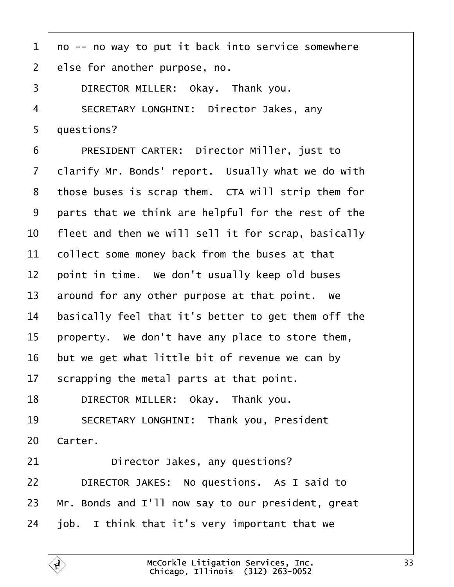<span id="page-32-0"></span>

| $\mathbf{1}$   | no -- no way to put it back into service somewhere  |
|----------------|-----------------------------------------------------|
| $\overline{2}$ | else for another purpose, no.                       |
| 3              | DIRECTOR MILLER: Okay. Thank you.                   |
| $\overline{4}$ | SECRETARY LONGHINI: Director Jakes, any             |
| 5              | questions?                                          |
| 6              | PRESIDENT CARTER: Director Miller, just to          |
| $\overline{7}$ | clarify Mr. Bonds' report. Usually what we do with  |
| 8              | those buses is scrap them. CTA will strip them for  |
| 9              | parts that we think are helpful for the rest of the |
| 10             | fleet and then we will sell it for scrap, basically |
| 11             | collect some money back from the buses at that      |
| 12             | point in time. We don't usually keep old buses      |
| 13             | around for any other purpose at that point. We      |
| 14             | basically feel that it's better to get them off the |
| 15             | property. We don't have any place to store them,    |
| 16             | but we get what little bit of revenue we can by     |
| 17             | scrapping the metal parts at that point.            |
| 18             | DIRECTOR MILLER: Okay. Thank you.                   |
| 19             | SECRETARY LONGHINI: Thank you, President            |
| 20             | Carter.                                             |
| 21             | Director Jakes, any questions?                      |
| 22             | DIRECTOR JAKES: No questions. As I said to          |
| 23             | Mr. Bonds and I'll now say to our president, great  |
| 24             | job. I think that it's very important that we       |
|                |                                                     |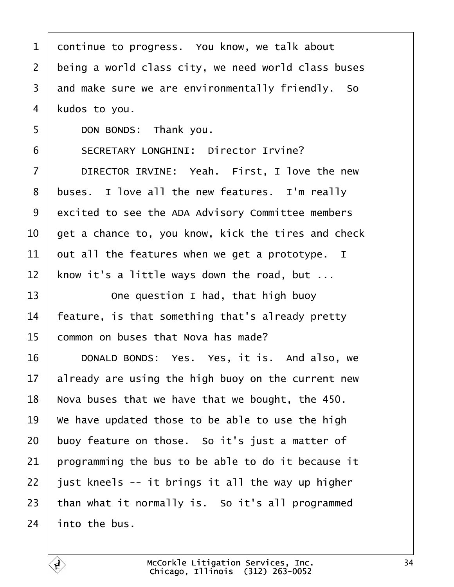<span id="page-33-0"></span>

| $\mathbf{1}$   | continue to progress. You know, we talk about       |
|----------------|-----------------------------------------------------|
| $\overline{2}$ | being a world class city, we need world class buses |
| $\overline{3}$ | and make sure we are environmentally friendly. So   |
| 4              | kudos to you.                                       |
| 5              | DON BONDS: Thank you.                               |
| 6              | SECRETARY LONGHINI: Director Irvine?                |
| $\overline{7}$ | DIRECTOR IRVINE: Yeah. First, I love the new        |
| 8              | buses. I love all the new features. I'm really      |
| 9              | excited to see the ADA Advisory Committee members   |
| 10             | get a chance to, you know, kick the tires and check |
| 11             | out all the features when we get a prototype. I     |
| 12             | know it's a little ways down the road, but          |
| 13             | One question I had, that high buoy                  |
| 14             | feature, is that something that's already pretty    |
| 15             | common on buses that Nova has made?                 |
| 16             | DONALD BONDS: Yes. Yes, it is. And also, we         |
| 17             | already are using the high buoy on the current new  |
| 18             | Nova buses that we have that we bought, the 450.    |
| 19             | We have updated those to be able to use the high    |
| 20             | buoy feature on those. So it's just a matter of     |
| 21             | programming the bus to be able to do it because it  |
| 22             | just kneels -- it brings it all the way up higher   |
| 23             | than what it normally is. So it's all programmed    |
| 24             | into the bus.                                       |

É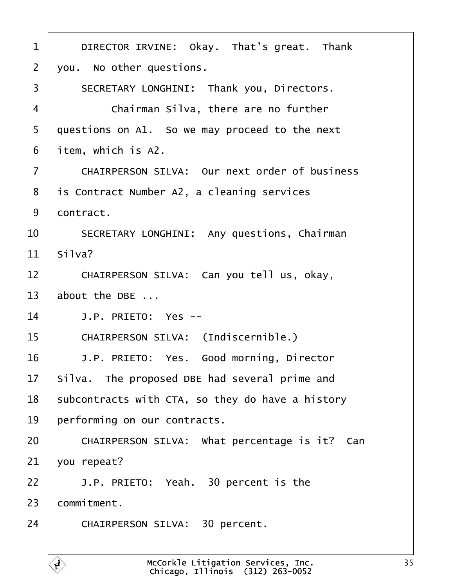<span id="page-34-0"></span>

| $\mathbf 1$    | DIRECTOR IRVINE: Okay. That's great. Thank                                             |
|----------------|----------------------------------------------------------------------------------------|
| $\overline{2}$ | you. No other questions.                                                               |
| 3              | SECRETARY LONGHINI: Thank you, Directors.                                              |
| 4              | Chairman Silva, there are no further                                                   |
| 5              | questions on A1. So we may proceed to the next                                         |
| 6              | item, which is A2.                                                                     |
| $\overline{7}$ | CHAIRPERSON SILVA: Our next order of business                                          |
| 8              | is Contract Number A2, a cleaning services                                             |
| 9              | contract.                                                                              |
| 10             | SECRETARY LONGHINI: Any questions, Chairman                                            |
| 11             | Si1va?                                                                                 |
| 12             | CHAIRPERSON SILVA: Can you tell us, okay,                                              |
| 13             | about the DBE                                                                          |
| 14             | J.P. PRIETO: Yes --                                                                    |
| 15             | CHAIRPERSON SILVA: (Indiscernible.)                                                    |
| 16             | J.P. PRIETO: Yes. Good morning, Director                                               |
| 17             | Silva. The proposed DBE had several prime and                                          |
| 18             | subcontracts with CTA, so they do have a history                                       |
| 19             | performing on our contracts.                                                           |
| 20             | CHAIRPERSON SILVA: What percentage is it?<br>Can                                       |
| 21             | you repeat?                                                                            |
| 22             | J.P. PRIETO: Yeah. 30 percent is the                                                   |
| 23             | commitment.                                                                            |
| 24             | CHAIRPERSON SILVA: 30 percent.                                                         |
|                |                                                                                        |
|                | McCorkle Litigation Services, Inc.<br>$\mathbf{r}$<br>Chicago, Illinois (312) 263-0052 |

Г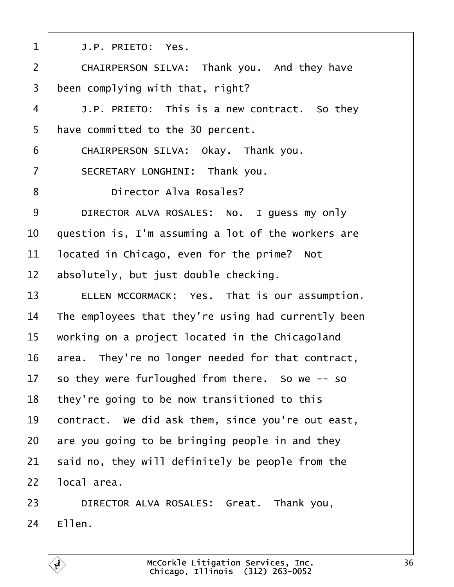<span id="page-35-0"></span>

| $\mathbf{1}$   | J.P. PRIETO: Yes.                                   |
|----------------|-----------------------------------------------------|
| $\overline{2}$ | CHAIRPERSON SILVA: Thank you. And they have         |
| 3              | been complying with that, right?                    |
| $\overline{4}$ | J.P. PRIETO: This is a new contract. So they        |
| 5              | have committed to the 30 percent.                   |
| 6              | CHAIRPERSON SILVA: Okay. Thank you.                 |
| $\overline{7}$ | SECRETARY LONGHINI: Thank you.                      |
| 8              | Director Alva Rosales?                              |
| 9              | DIRECTOR ALVA ROSALES: No. I guess my only          |
| 10             | question is, I'm assuming a lot of the workers are  |
| 11             | located in Chicago, even for the prime? Not         |
| 12             | absolutely, but just double checking.               |
| 13             | ELLEN MCCORMACK: Yes. That is our assumption.       |
| 14             | The employees that they're using had currently been |
| 15             | working on a project located in the Chicagoland     |
| 16             | area. They're no longer needed for that contract,   |
| 17             | so they were furloughed from there. So we -- so     |
| 18             | they're going to be now transitioned to this        |
| 19             | contract. We did ask them, since you're out east,   |
| 20             | are you going to be bringing people in and they     |
| 21             | said no, they will definitely be people from the    |
| 22             | local area.                                         |
| 2 <sup>2</sup> | DIRECTOR ALVA ROSALES: Croat Thank vou              |

23 | DIRECTOR ALVA ROSALES: Great. Thank you,  $24$  | Ellen.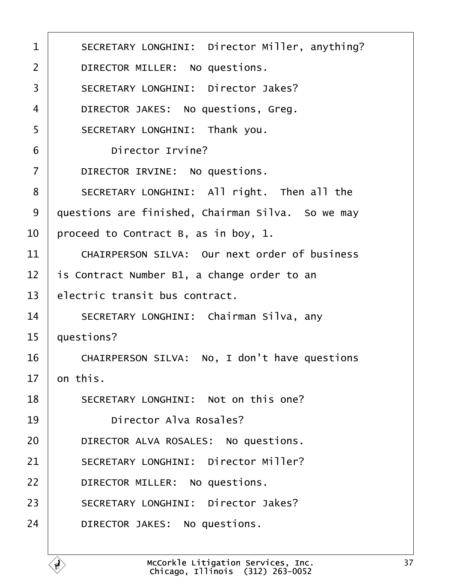<span id="page-36-0"></span>

| $\mathbf{1}$   | SECRETARY LONGHINI: Director Miller, anything?    |
|----------------|---------------------------------------------------|
| $\overline{2}$ | DIRECTOR MILLER: No questions.                    |
| 3              | SECRETARY LONGHINI: Director Jakes?               |
| $\overline{4}$ | DIRECTOR JAKES: No questions, Greg.               |
| 5              | SECRETARY LONGHINI: Thank you.                    |
| 6              | Director Irvine?                                  |
| $\overline{7}$ | DIRECTOR IRVINE: No questions.                    |
| 8              | SECRETARY LONGHINI: All right. Then all the       |
| 9              | questions are finished, Chairman Silva. So we may |
| 10             | proceed to Contract B, as in boy, 1.              |
| 11             | CHAIRPERSON SILVA: Our next order of business     |
| 12             | is Contract Number B1, a change order to an       |
| 13             | electric transit bus contract.                    |
| 14             | SECRETARY LONGHINI: Chairman Silva, any           |
| 15             | questions?                                        |
| 16             | CHAIRPERSON SILVA: No, I don't have questions     |
| 17             | on this.                                          |
| 18             | SECRETARY LONGHINI: Not on this one?              |
| 19             | Director Alva Rosales?                            |
| 20             | DIRECTOR ALVA ROSALES: No questions.              |
| 21             | SECRETARY LONGHINI: Director Miller?              |
| 22             | DIRECTOR MILLER: No questions.                    |
| 23             | SECRETARY LONGHINI: Director Jakes?               |
| 24             | DIRECTOR JAKES: No questions.                     |
|                |                                                   |

É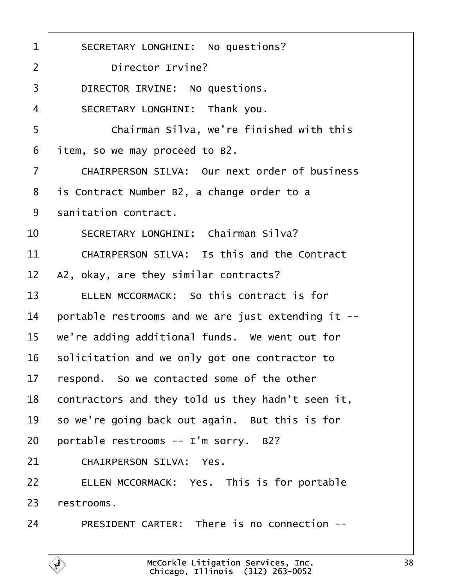<span id="page-37-0"></span>1 | SECRETARY LONGHINI: No questions? 2 Director Irvine? 3 DIRECTOR IRVINE: No questions. 4 SECRETARY LONGHINI: Thank you. ·5· · · · · · Chairman Silva, we're finished with this  $6$  | item, so we may proceed to B2. 7 | CHAIRPERSON SILVA: Our next order of business  $8$  | is Contract Number B2, a change order to a 9 sanitation contract. 10 | SECRETARY LONGHINI: Chairman Silva?  $11$   $\blacksquare$  CHATRPERSON STIVA: Is this and the Contract  $12$  | A2, okay, are they similar contracts? 13 **ELLEN MCCORMACK:** So this contract is for  $14$   $\parallel$  portable restrooms and we are just extending it -- $15$   $\mid$  we're adding additional funds. We went out for  $16$  solicitation and we only got one contractor to  $17$   $\vert$  respond. So we contacted some of the other  $18$  contractors and they told us they hadn't seen it,  $19$  so we're going back out again. But this is for  $20$  portable restrooms -- I'm sorry. B2? 21 CHAIRPERSON SILVA: Yes. 22 ELLEN MCCORMACK: Yes. This is for portable  $23$  restrooms. 24 PRESIDENT CARTER: There is no connection --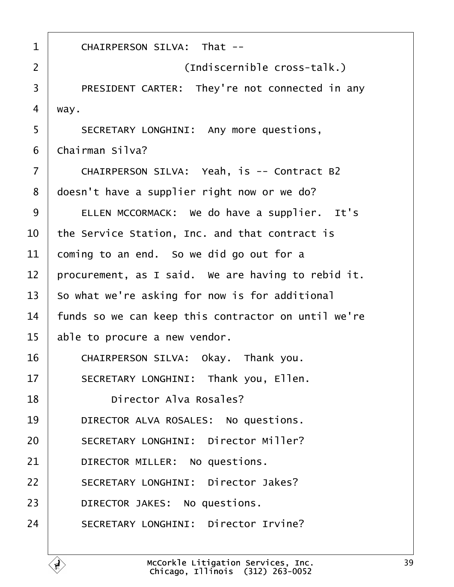<span id="page-38-0"></span>

| $\mathbf{1}$   | CHAIRPERSON SILVA: That --                          |  |  |  |  |  |  |
|----------------|-----------------------------------------------------|--|--|--|--|--|--|
| $\overline{2}$ | (Indiscernible cross-talk.)                         |  |  |  |  |  |  |
| 3              | PRESIDENT CARTER: They're not connected in any      |  |  |  |  |  |  |
| 4              | way.                                                |  |  |  |  |  |  |
| 5              | SECRETARY LONGHINI: Any more questions,             |  |  |  |  |  |  |
| 6              | Chairman Silva?                                     |  |  |  |  |  |  |
| $\overline{7}$ | CHAIRPERSON SILVA: Yeah, is -- Contract B2          |  |  |  |  |  |  |
| 8              | doesn't have a supplier right now or we do?         |  |  |  |  |  |  |
| 9              | ELLEN MCCORMACK: We do have a supplier. It's        |  |  |  |  |  |  |
| 10             | the Service Station, Inc. and that contract is      |  |  |  |  |  |  |
| 11             | coming to an end. So we did go out for a            |  |  |  |  |  |  |
| 12             | procurement, as I said. We are having to rebid it.  |  |  |  |  |  |  |
| 13             | So what we're asking for now is for additional      |  |  |  |  |  |  |
| 14             | funds so we can keep this contractor on until we're |  |  |  |  |  |  |
| 15             | able to procure a new vendor.                       |  |  |  |  |  |  |
| 16             | CHAIRPERSON SILVA: Okay. Thank you.                 |  |  |  |  |  |  |
| 17             | SECRETARY LONGHINI: Thank you, Ellen.               |  |  |  |  |  |  |
| 18             | Director Alva Rosales?                              |  |  |  |  |  |  |
| 19             | DIRECTOR ALVA ROSALES: No questions.                |  |  |  |  |  |  |
| 20             | SECRETARY LONGHINI: Director Miller?                |  |  |  |  |  |  |
| 21             | DIRECTOR MILLER: No questions.                      |  |  |  |  |  |  |
| 22             | SECRETARY LONGHINI: Director Jakes?                 |  |  |  |  |  |  |
| 23             | DIRECTOR JAKES: No questions.                       |  |  |  |  |  |  |
| 24             | SECRETARY LONGHINI: Director Irvine?                |  |  |  |  |  |  |

É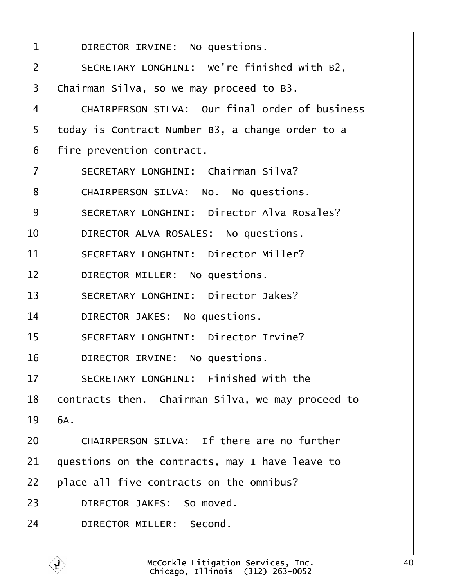<span id="page-39-0"></span>

| $\mathbf 1$    | DIRECTOR IRVINE: No questions.                    |  |  |  |  |  |  |
|----------------|---------------------------------------------------|--|--|--|--|--|--|
| $\overline{2}$ | SECRETARY LONGHINI: We're finished with B2,       |  |  |  |  |  |  |
| 3              | Chairman Silva, so we may proceed to B3.          |  |  |  |  |  |  |
| $\overline{4}$ | CHAIRPERSON SILVA: Our final order of business    |  |  |  |  |  |  |
| 5              | today is Contract Number B3, a change order to a  |  |  |  |  |  |  |
| 6              | fire prevention contract.                         |  |  |  |  |  |  |
| $\overline{7}$ | SECRETARY LONGHINI: Chairman Silva?               |  |  |  |  |  |  |
| 8              | CHAIRPERSON SILVA: No. No questions.              |  |  |  |  |  |  |
| 9              | SECRETARY LONGHINI: Director Alva Rosales?        |  |  |  |  |  |  |
| 10             | DIRECTOR ALVA ROSALES: No questions.              |  |  |  |  |  |  |
| 11             | SECRETARY LONGHINI: Director Miller?              |  |  |  |  |  |  |
| 12             | DIRECTOR MILLER: No questions.                    |  |  |  |  |  |  |
| 13             | SECRETARY LONGHINI: Director Jakes?               |  |  |  |  |  |  |
| 14             | DIRECTOR JAKES: No questions.                     |  |  |  |  |  |  |
| 15             | SECRETARY LONGHINI: Director Irvine?              |  |  |  |  |  |  |
| 16             | DIRECTOR IRVINE: No questions.                    |  |  |  |  |  |  |
| 17             | SECRETARY LONGHINI: Finished with the             |  |  |  |  |  |  |
| 18             | contracts then. Chairman Silva, we may proceed to |  |  |  |  |  |  |
| 19             | 6A.                                               |  |  |  |  |  |  |
| 20             | CHAIRPERSON SILVA: If there are no further        |  |  |  |  |  |  |
| 21             | questions on the contracts, may I have leave to   |  |  |  |  |  |  |
| 22             | place all five contracts on the omnibus?          |  |  |  |  |  |  |
| 23             | DIRECTOR JAKES: So moved.                         |  |  |  |  |  |  |
| 24             | DIRECTOR MILLER: Second.                          |  |  |  |  |  |  |
|                |                                                   |  |  |  |  |  |  |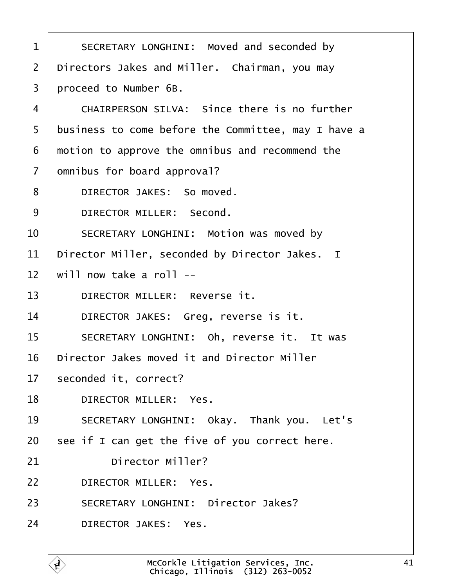<span id="page-40-0"></span>1 | SECRETARY LONGHINI: Moved and seconded by 2 | Directors Jakes and Miller. Chairman, you may 3 proceed to Number 6B. 4 CHAIRPERSON SILVA: Since there is no further 5 | business to come before the Committee, may I have a  $6$   $\mid$  motion to approve the omnibus and recommend the  $7$   $\mid$  omnibus for board approval? 8 | DIRECTOR JAKES: So moved. 9 DIRECTOR MILLER: Second. 10 SECRETARY LONGHINI: Motion was moved by  $11$  | Director Miller, seconded by Director Jakes. I  $12$   $\mid$  will now take a roll --13 DIRECTOR MILLER: Reverse it. 14 DIRECTOR JAKES: Greg, reverse is it. 15 | SECRETARY LONGHINI: Oh, reverse it. It was  $16$   $\mid$  Director Jakes moved it and Director Miller 17 | seconded it, correct? 18 DIRECTOR MILLER: Yes. 19 SECRETARY LONGHINI: Okay. Thank you. Let's  $20$  see if I can get the five of you correct here.  $21$   $\vert$  Director Miller? 22 DIRECTOR MILLER: Yes. 23 SECRETARY LONGHINI: Director Jakes? 24 DIRECTOR JAKES: Yes.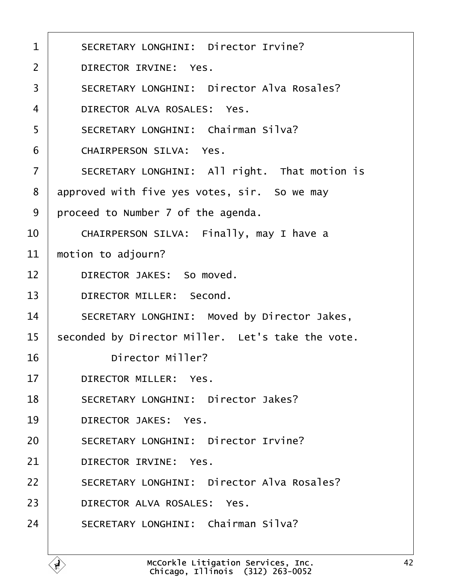<span id="page-41-0"></span>

| $\mathbf 1$       | SECRETARY LONGHINI: Director Irvine?              |  |  |  |  |  |  |
|-------------------|---------------------------------------------------|--|--|--|--|--|--|
| $\overline{2}$    | DIRECTOR IRVINE: Yes.                             |  |  |  |  |  |  |
| 3                 | SECRETARY LONGHINI: Director Alva Rosales?        |  |  |  |  |  |  |
| $\overline{4}$    | DIRECTOR ALVA ROSALES: Yes.                       |  |  |  |  |  |  |
| 5                 | SECRETARY LONGHINI: Chairman Silva?               |  |  |  |  |  |  |
| 6                 | CHAIRPERSON SILVA: Yes.                           |  |  |  |  |  |  |
| $\overline{7}$    | SECRETARY LONGHINI: All right. That motion is     |  |  |  |  |  |  |
| 8                 | approved with five yes votes, sir. So we may      |  |  |  |  |  |  |
| 9                 | proceed to Number 7 of the agenda.                |  |  |  |  |  |  |
| 10                | CHAIRPERSON SILVA: Finally, may I have a          |  |  |  |  |  |  |
| 11                | motion to adjourn?                                |  |  |  |  |  |  |
| $12 \overline{ }$ | DIRECTOR JAKES: So moved.                         |  |  |  |  |  |  |
| 13                | DIRECTOR MILLER: Second.                          |  |  |  |  |  |  |
| 14                | SECRETARY LONGHINI: Moved by Director Jakes,      |  |  |  |  |  |  |
| 15                | seconded by Director Miller. Let's take the vote. |  |  |  |  |  |  |
| 16                | Director Miller?                                  |  |  |  |  |  |  |
| 17                | DIRECTOR MILLER: Yes.                             |  |  |  |  |  |  |
| 18                | SECRETARY LONGHINI: Director Jakes?               |  |  |  |  |  |  |
| 19                | DIRECTOR JAKES: Yes.                              |  |  |  |  |  |  |
| 20                | SECRETARY LONGHINI: Director Irvine?              |  |  |  |  |  |  |
| 21                | DIRECTOR IRVINE: Yes.                             |  |  |  |  |  |  |
| 22                | SECRETARY LONGHINI: Director Alva Rosales?        |  |  |  |  |  |  |
| 23                | DIRECTOR ALVA ROSALES: Yes.                       |  |  |  |  |  |  |
| 24                | SECRETARY LONGHINI: Chairman Silva?               |  |  |  |  |  |  |
|                   |                                                   |  |  |  |  |  |  |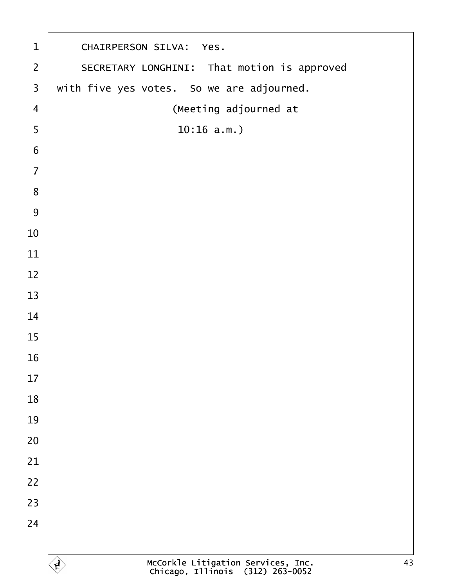<span id="page-42-0"></span>

| $\mathbf 1$             | CHAIRPERSON SILVA: Yes.                                                      |  |  |  |  |  |  |  |  |
|-------------------------|------------------------------------------------------------------------------|--|--|--|--|--|--|--|--|
| $\overline{2}$          | SECRETARY LONGHINI: That motion is approved                                  |  |  |  |  |  |  |  |  |
| $\overline{\mathbf{3}}$ | with five yes votes. So we are adjourned.                                    |  |  |  |  |  |  |  |  |
| $\overline{4}$          | (Meeting adjourned at                                                        |  |  |  |  |  |  |  |  |
| 5                       | 10:16 a.m.                                                                   |  |  |  |  |  |  |  |  |
| 6                       |                                                                              |  |  |  |  |  |  |  |  |
| $\overline{7}$          |                                                                              |  |  |  |  |  |  |  |  |
| 8                       |                                                                              |  |  |  |  |  |  |  |  |
| 9                       |                                                                              |  |  |  |  |  |  |  |  |
| 10                      |                                                                              |  |  |  |  |  |  |  |  |
| 11                      |                                                                              |  |  |  |  |  |  |  |  |
| 12                      |                                                                              |  |  |  |  |  |  |  |  |
| 13                      |                                                                              |  |  |  |  |  |  |  |  |
| 14                      |                                                                              |  |  |  |  |  |  |  |  |
| 15                      |                                                                              |  |  |  |  |  |  |  |  |
| 16                      |                                                                              |  |  |  |  |  |  |  |  |
| 17                      |                                                                              |  |  |  |  |  |  |  |  |
| 18                      |                                                                              |  |  |  |  |  |  |  |  |
| 19                      |                                                                              |  |  |  |  |  |  |  |  |
| 20                      |                                                                              |  |  |  |  |  |  |  |  |
| 21                      |                                                                              |  |  |  |  |  |  |  |  |
| 22                      |                                                                              |  |  |  |  |  |  |  |  |
| 23                      |                                                                              |  |  |  |  |  |  |  |  |
| 24                      |                                                                              |  |  |  |  |  |  |  |  |
|                         |                                                                              |  |  |  |  |  |  |  |  |
|                         | McCorkle Litigation Services, Inc.<br>Chicago, Illinois (312) 263-0052<br>43 |  |  |  |  |  |  |  |  |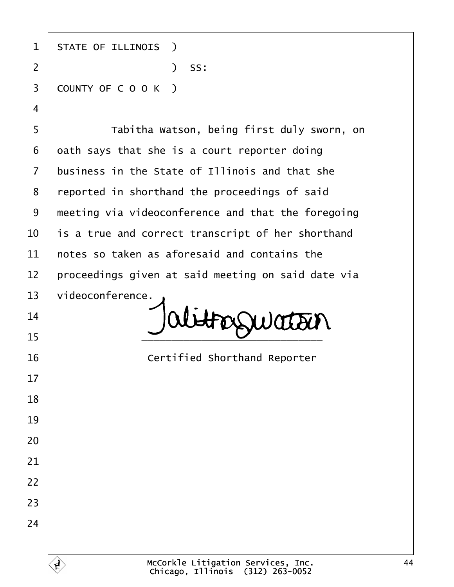1 | STATE OF ILLINOIS ) ·2· · · · · · · · · · · )· SS: 3 COUNTY OF C O O K ) 5 | Tabitha Watson, being first duly sworn, on oath says that she is a court reporter doing business in the State of Illinois and that she 8 | reported in shorthand the proceedings of said | meeting via videoconference and that the foregoing  $\vert$  is a true and correct transcript of her shorthand  $\pm$  notes so taken as aforesaid and contains the proceedings given at said meeting on said date via 13 | videoconference.  $\bigcup_{15}$   $\bigcup$  abtroguation **I Certified Shorthand Reporter**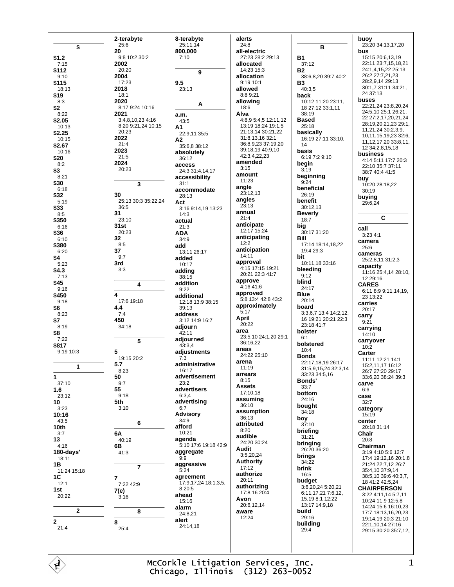|                    | 2-terabyte                  | 8-terabyte                     | alerts                                  |                                              | buoy                                         |
|--------------------|-----------------------------|--------------------------------|-----------------------------------------|----------------------------------------------|----------------------------------------------|
| \$                 | 25:6                        | 25:11,14                       | 24:8                                    | в                                            | 23:20 34:13,17,20                            |
| \$1.2              | 20<br>9:8 10:2 30:2         | 800,000<br>7:10                | all-electric<br>27:23 28:2 29:13        | <b>B1</b>                                    | bus<br>15:15 20:6,13,19                      |
| 7:15               | 2002                        |                                | allocated                               | 37:12                                        | 22:11 23:7,15,18,21                          |
| \$112              | 20:20                       | 9                              | 14:23 15:3                              | <b>B2</b>                                    | 24:1,4,15,22 25:13                           |
| 9:10<br>\$115      | 2004<br>17:23               | 9.5                            | allocation<br>9:19 10:1                 | 38:6,8,20 39:7 40:2<br>B3                    | 26:2 27:7,21,23<br>28:2,9,14 29:13           |
| 18:13              | 2018                        | 23:13                          | allowed                                 | 40:3,5                                       | 30:1,7 31:11 34:21,                          |
| \$19               | 18:1                        |                                | 8:8 9:21                                | back                                         | 24 37:13<br>buses                            |
| 8:3<br>\$2         | 2020<br>8:17 9:24 10:16     | Α                              | allowing<br>18:6                        | 10:12 11:20 23:11,<br>18 27:12 33:1,11       | 22:21,24 23:8,20,24                          |
| 8:22               | 2021                        | a.m.                           | Alva                                    | 38:19                                        | 24:5,10 25:1 26:21,                          |
| \$2.05             | 3:4,8,10,23 4:16            | 43:5                           | 4:8,9 5:4,5 12:11,12                    | <b>Based</b>                                 | 22 27:2,17,20,21,24<br>28:19,20,21,23 29:1,  |
| 10:13<br>\$2.25    | 8:20 9:21,24 10:15<br>20:23 | А1<br>22:9,11 35:5             | 13:19 18:24 19:1,5<br>21:13,14 30:21,22 | 25:18<br>basically                           | 11,21,24 30:2,3,9,                           |
| 10:15              | 2022                        | A2                             | 31:8,13,16 32:1                         | 16:19 27:11 33:10,                           | 10,11,15,19,23 32:6,                         |
| \$2.67             | 21:4<br>2023                | 35:6,8 38:12                   | 36:8,9,23 37:19,20<br>39:18,19 40:9,10  | 14                                           | 11, 12, 17, 20 33: 8, 11,<br>12 34:2,8,15,18 |
| 10:16<br>\$20      | 21:5                        | absolutely<br>36:12            | 42:3,4,22,23                            | basis<br>6:19 7:2 9:10                       | business                                     |
| 8:2                | 2024                        | access                         | amended                                 | begin                                        | 4:14 5:11 17:7 20:3<br>22:10 35:7 37:11      |
| \$3                | 20:23                       | 24:3 31:4,14,17                | 3:15<br>amount                          | 3:19                                         | 38:7 40:4 41:5                               |
| 8:21<br>\$30       |                             | accessibility<br>31:1          | 11:23                                   | beginning<br>9:24                            | buy                                          |
| 6:18               | 3                           | accommodate                    | angle                                   | beneficial                                   | 10:20 28:18,22<br>30:19                      |
| \$32               | 30                          | 28:13                          | 23:12,13<br>angles                      | 26:19                                        | buying                                       |
| 5:19<br>\$33       | 25:13 30:3 35:22,24<br>36:5 | Act<br>3:16 9:14,19 13:23      | 23:13                                   | benefit<br>30:12,13                          | 29:6,24                                      |
| 8:5                | 31                          | 14:3                           | annual                                  | <b>Beverly</b>                               | C                                            |
| \$350              | 23:10<br>31st               | actual                         | 21:4<br>anticipate                      | 18:7                                         |                                              |
| 6:16<br>\$36       | 20:23                       | 21:3<br>ADA                    | 12:17 15:24                             | big<br>30:17 31:20                           | call<br>3:234:1                              |
| 6:10               | 32                          | 34:9                           | anticipating                            | Bill                                         | camera                                       |
| \$380              | 8:5<br>37                   | add                            | 12:2<br>anticipation                    | 17:14 18:14,18,22<br>19:4 29:3               | 25:6                                         |
| 6:20<br>\$4        | 9:7                         | 13:11 26:17<br>added           | 14:11                                   | bit                                          | cameras                                      |
| 5:23               | 3rd                         | 10:17                          | approval<br>4:15 17:15 19:21            | 10:11,18 33:16                               | 25:2,8,11 31:2,3<br>capacity                 |
| \$4.3<br>7:13      | 3:3                         | adding                         | 20:21 22:3 41:7                         | bleeding<br>9:12                             | 11:16 25:4,14 28:10,                         |
| \$45               | 4                           | 38:15<br>addition              | approve                                 | blind                                        | 12 29:16<br><b>CARES</b>                     |
| 9:16               |                             | 9:22                           | 4:16 41:6<br>approved                   | 24:17                                        | 6:11 8:9 9:11,14,19,                         |
| \$450<br>9:18      | 4<br>17:6 19:18             | additional<br>12:18 13:9 38:15 | 5:8 13:4 42:8 43:2                      | Blue<br>20:14                                | 23 13:22                                     |
| \$6                | 4.4                         | 39:13                          | approximately                           | board                                        | carries<br>20:17                             |
| 8:23               | 7:4                         | address                        | 5:17<br>April                           | 3:3,6,7 13:4 14:2,12,<br>16 19:21 20:21 22:3 | carry                                        |
| \$7<br>8:19        | 450<br>34:18                | 3:12 14:9 16:7<br>adjourn      | 20:22                                   | 23:18 41:7                                   | 9:21                                         |
| \$8                |                             | 42:11                          | area                                    | bolster                                      | carrying<br>14:10                            |
| 7:22               | 5                           | adjourned                      | 23:5,10 24:1,20 29:1<br>36:16,22        | 6:1<br>bolstered                             | carryover                                    |
| \$817<br>9:19 10:3 | 5                           | 43:3,4<br>adjustments          | areas                                   | 10:4                                         | 10:2<br>Carter                               |
|                    | 19:15 20:2                  | 7:3                            | 24:22 25:10                             | Bonds                                        | 11:11 12:21 14:1                             |
| 1                  | 5.7                         | administrative                 | arena<br>11:19                          | 22:17,18,19 26:17<br>31:5,9,15,24 32:3,14    | 15:2,11,17 16:12                             |
| 1                  | 8:23<br>50                  | 16:17<br>advertisement         | arrears                                 | 33:23 34:5,16                                | 26:7 27:20 29:17<br>33:6,20 38:24 39:3       |
| 37:10              | 9:7                         | 23:2                           | 8:15<br>Assets                          | Bonds'                                       | carve                                        |
| 1.6                | 55<br>9:18                  | advertisers<br>6:3,4           | 17:10,18                                | 33:7<br>bottom                               | 6:6                                          |
| 23:12<br>10        | 5th                         | advertising                    | assuming                                | 24:16                                        | case<br>32:7                                 |
| 3:23               | 3:10                        | 6:7                            | 36:10<br>assumption                     | bought<br>34:18                              | category                                     |
| 10:16<br>43:5      |                             | <b>Advisory</b><br>34:9        | 36:13                                   | boy                                          | 15:19<br>center                              |
| 10th               | 6                           | afford                         | attributed                              | 37:10                                        | 20:18 31:14                                  |
| 3:7                | 6A                          | 10:21                          | 8:20<br>audible                         | briefing<br>31:21                            | Chair                                        |
| 13<br>4:16         | 40:19<br>6В                 | aqenda<br>5:10 17:6 19:18 42:9 | 24:20 30:24                             | bringing                                     | 20:8<br>Chairman                             |
| 180-days'          | 41:3                        | aggregate                      | Audit                                   | 26:20 36:20                                  | 3:19 4:10 5:6 12:7                           |
| 18:11              |                             | 9:9                            | 3:5,20,24<br>Authority                  | brings<br>34:22                              | 17:4 19:12,16 20:1,8                         |
| 1В<br>11:24 15:18  | $\overline{7}$              | aggressive<br>5:24             | 17:12                                   | brink                                        | 21:24 22:7,12 26:7<br>35:4,10 37:9,14        |
| 1C                 | $\overline{7}$              | agreement                      | authorize<br>20:11                      | 16:5                                         | 38:5,10 39:6 40:3,7,                         |
| 12:1               | 7:22 42:9                   | 17:9,17,24 18:1,3,5,<br>8 20:5 | authorizing                             | budget<br>3:6,20,24 5:20,21                  | 18 41:2 42:5,24<br><b>CHAIRPERSON</b>        |
| 1st<br>20:22       | 7(e)<br>3:16                | ahead                          | 17:8,16 20:4                            | 6:11,17,21 7:6,12,                           | 3:22 4:11,14 5:7,11                          |
|                    |                             | 15:16                          | Avon<br>20:6,12,14                      | 15, 19 8:1 12:22<br>13:17 14:9,18            | 10:24 11:9 12:5,8                            |
| $\mathbf{2}$       | 8                           | alarm<br>24:8,21               | aware                                   | build                                        | 14:24 15:6 16:10,23<br>17:7 18:13,16,20,23   |
| $\mathbf{2}$       | 8                           | alert                          | 12:24                                   | 29:16                                        | 19:14,19 20:3 21:10                          |
| 21:4               | 25:4                        | 24:14,18                       |                                         | building<br>29:4                             | 22:1,10,14 27:16<br>29:15 30:20 35:7,12,     |
|                    |                             |                                |                                         |                                              |                                              |
|                    |                             |                                |                                         |                                              |                                              |
|                    |                             |                                |                                         |                                              |                                              |

 $\begin{picture}(20,5) \put(0,0){\line(1,0){155}} \put(15,0){\line(1,0){155}} \put(15,0){\line(1,0){155}} \put(15,0){\line(1,0){155}} \put(15,0){\line(1,0){155}} \put(15,0){\line(1,0){155}} \put(15,0){\line(1,0){155}} \put(15,0){\line(1,0){155}} \put(15,0){\line(1,0){155}} \put(15,0){\line(1,0){155}} \put(15,0){\line(1,0){155}} \put$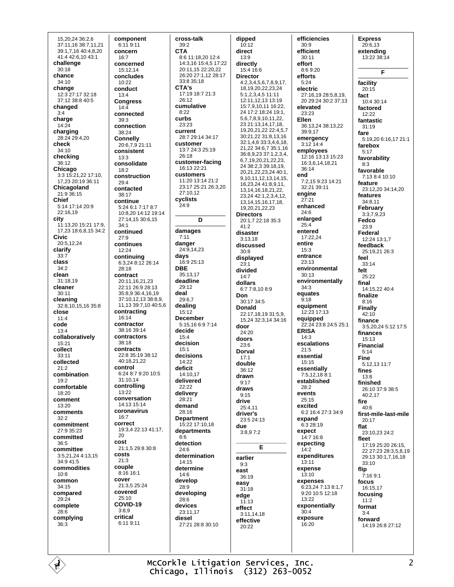15.20.24 36:2.6 37:11,16 38:7,11,21 39:1,7,16 40:4,8,20 41:4 42:6,10 43:1 challenge  $30.18$ chance 34:10 change 12:3 27:17 32:18 37:12 38:8 40:5 changed  $3·4$ charge  $14:24$ charging 28:24 29:4.20 check 34:10 checking  $36:12$ Chicago 3:3 15:21,22 17:10, 17,23 20:19 36:11 Chicagoland 21:9 36:15 Chief 5:14 17:14 20:9  $22.1619$ city 11:13,20 15:21 17:9, 17,23 18:6,8,15 34:2 Civic 20:5.12.24 clarify  $33:7$ class  $34.2$ clean 31:18,19 cleaner  $30:11$ cleaning  $32:8,10,15,1635:8$ close  $11:4$ code  $13:4$ collaboratively  $15.21$ collect  $33:11$ collected  $21:2$ combination  $19.2$ comfortable 18:20 comment 13:20 comments  $32:2$ commitment 27:9 35:23 committed  $36.5$ committee 3:5,21,24 4:13,15 34:9 41:5 commodities  $10:8$ common 34:15 compared  $29:24$ complete  $28.6$ complying  $36:3$ 

É

component 6:11 9:11 concern  $16.7$ concerned  $15:1214$ concludes 10:22 conduct  $13.4$ **Congress**  $14:4$ connected  $39:3$ connection 38:24 **Connelly** 20:6,7,9 21:11 consistent  $13:3$ consolidate  $18.2$ construction  $29:4$ contacted  $38.17$ continue 5:24 6:1 7:17 8:7 10:8,20 14:12 19:14 27:14,15 30:6,15  $34.1$ continued  $27.9$ continues 12:24 continuing 6:3.24 8:12 26:14  $28.18$ contract 20:11,16,21,23 22:11 26:9 28:13 35:8,9 36:4,16,19 37:10,12,13 38:8,9, 11,13 39:7,10 40:5,6 contracting  $16.14$ contractor 38:16 39:14 contractors 38:18 contracts  $22:835:1938:12$ 40.18 21 22 control 6:24 8:7 9:20 10:5 31:10.14 controllina  $13.22$ conversation 14:13 15:14 coronavirus  $16:7$ correct 19:3.4 22:13 41:17.  $20$ cost 21:1,5 29:8 30:8 costs  $21:3$ couple 8:16 16:1 cover 21:3,5 25:24 covered  $25:10$ COVID-19  $3:8.9$ critical 6:11 9:11

## cross-talk  $39:2$ **CTA** 8:6 11:18.20 12:4 14:3.16 15:4.5 17:22  $20.11$  15  $22.20$  22 26:20 27:1.12 28:17 33:8 35:18 CTA's 17:19 18:7 21:3 26:12 cumulative  $8:22$ curbs  $23.23$ current 28:7 29:14 34:17 customer 13:7 24:3 25:19  $26:18$ customer-facing 16:13 22:21 customers 11:20 13:14 21:2 23:17.25:21.26:3.20  $27:1012$ cyclists 24:9  $\mathbf{D}$ damages  $7:11$ danger 24:9,14.23 days 16:9 25:13 **DBE** 35:13,17 deadline 29:12 deal 29:6.7 dealing  $15.12$ **December** 5:15,16 6:9 7:14 decide  $15:4$ decision  $15.1$ decisions  $14:22$ deficit 14:10.17 delivered 22:22 delivery 28:21 demand  $28.16$ **Denartment** 15:22 17:10,18 departments  $8:6$ detection 24:6 determination 14:15 determine  $14.6$ develop 28:9 developing 28:6 devices  $23.11$  17 diesel 27:21 28:8 30:10

dipped  $10:12$ direct  $13.9$ directly 15:4 16:6 **Director** 4:2,3,4,5,6,7,8,9,17, 18, 19, 20, 22, 23, 24  $5:1,2,3,4,5$  11:11 12:11 12 13 13:19 15.7 9 10 11 16:22 24 17:2 18:24 19:1. 56789101122 23 21:13.14.17.18. 19,20,21,22 22:4,5,7 30:21,22 31:8,13,16 32:1,4,6 33:3,4,6,18, 21,22 34:6,7 35:1,16 36:8,9,23 37:1,2,3,4, 6,7,19,20,21,22,23, 24 38:2,3 39:18,19, 20,21,22,23,24 40:1, 9,10,11,12,13,14,15, 16,23,24 41:8,9,11, 13, 14, 16, 18, 21, 22, 23,24 42:1,2,3,4,12, 13 14 15 16 17 18 19.20.21.22.23 **Directors** 20:1,7 22:18 35:3  $41.2$ disaster  $3.1318$ discussed  $30.8$ displayed  $23:1$ divided  $14.7$ dollars  $6.77.81089$ Don 30:17 34:5 **Donald** 22:17 18 19 31:5 9 15.24 32:3.14 34:16 door  $24:20$ doors  $23.6$ Dorval  $17.1$ double  $36.12$ drawn  $9.17$ draws  $9:15$ drive  $25.411$ driver's  $23:524:13$ due  $3:8.97:2$ Е earlier  $9:3$ east  $36.19$ easy  $31:18$ edge  $11.13$ effect  $3:11,14,18$ effective  $20.22$ 

efficiencies  $30:9$ efficient  $30:11$ effort 8:6 9:20 efforts  $5:24$ electric 27:16.19 28:5.8.19. 20 29:24 30:2 37:13 elevated  $23.23$ Ellen 36:13.24 38:13.22 39:9.17 emergency  $3:12$  14:4 employees 12:16 13:13 15:23 16:3,6,14,18,21 36:14 end 7:2,15 9:23 14:21  $32.2130.11$ enaine  $27:21$ enhanced  $24.6$ enlarged  $25:4$ entered 17:22.24 entire  $15:3$ entrance 23:13 environmental  $30:13$ environmentally  $34:3$ equates  $9:18$ equipment  $12.23$  17.13 equipped 22:24 23:8 24:5 25:1 **ERISA**  $14.3$ escalations  $21:5$ essential 15:15 essentially 7:5.12.18 8:1 established 28:2 events  $25:15$ excited 6:2 16:4 27:3 34:9 expand 6:3 28:19 expect  $14.716.8$ expecting  $14:2$ expenditures 13:11 expense  $13:10$ expenses 6:23,24 7:13 8:1.7 9:20 10:5 12:18  $13:22$ exponentially  $30.4$ exposure  $16:20$ 

**Express**  $20:6.13$ extendina 13:22 38:14 F facility  $20.15$ fact 10:4 30:14 factored  $12.22$ fantastic  $31.19$ fare 5:19,20 6:16,17 21:1 farebox  $5:17$ favorability  $8:3$ favorable 7:13 8:4 10:10 feature 23:12,20 34:14,20 features 34:8.11 February  $3.37923$ Fedco  $23.9$ **Federal** 12:24 13:1,7 feedback 25:19.21 26:3 feel  $33:14$ felt  $25:22$ final 14:15,22 40:4 finalize  $8:16$ **Finally**  $42:10$ finance 3:5,20,24 5:12 17:5 finances  $15:13$ **Financial**  $5.14$ **Fine** 5:12,13 11:7 fines  $13.8$ finished 26:10 37:9 38:5 40:2,17 fire  $40:6$ first-mile-last-mile  $20.17$ flat 23:10,23 24:2 fleet 17:19 25:20 26:15 22 27 23 28 3 5 8 19 29:13 30:1,7,16,18  $33.10$ flip  $7:169:1$ focus 16:15.17 focusing  $11.2$ format  $3·4$ forward 14:19 26:8 27:12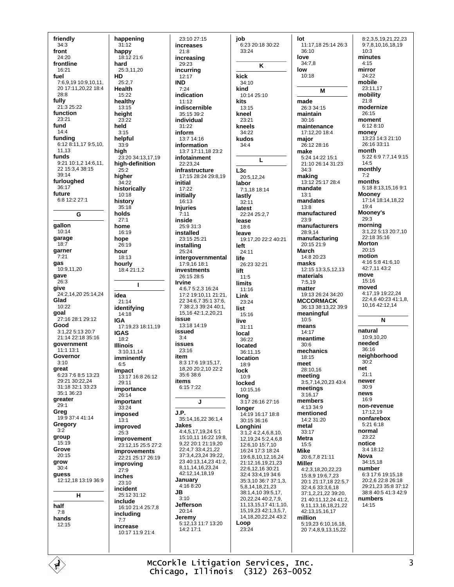friendly  $34:3$ front  $24.20$ frontline  $16.21$ fuel 7:6,9,19 10:9,10,11, 20 17:11 20 22 18:4  $28.8$ fully 21:3 25:22 function 23:21 fund  $14:4$ funding 6:12 8:11,17 9:5,10, 11.13 funds  $9:21$  10:1,2 14:6,11, 22 15:3,4 38:15  $39.14$ furloughed  $36:17$ future 6:8 12:2 27:1 G gallon  $10.14$ garage  $18:7$ garner  $7:21$ gas  $10:9.11.20$ gave 26:3 give 24:2,14,20 25:14.24 Glad 10:22 goal 27:16 28:1 29:12 Good  $3:1$  22  $5:13$  20 $.7$ 21:14 22:18 35:16 qovernment 11:1 13:1 Governor  $3:10$ great 6:23 7:6 8:5 13:23 29:21 30:22.24 31:18 32:1 33:23 35:1 36:23 greater  $29:1$ Greg 19:9 37:4 41:14 Gregory group  $15.19$ Grove  $20:15$ grow  $30.4$ guess 12:12,18 13:19 36:9  $H$ half  $7:8$ hands  $12.15$ 

É

happening  $31:12$ happy  $18.12216$ hard 25:3.11.20 **HD**  $25:2,7$ **Health**  $15.22$ healthy 13:15 height  $23:22$ held  $3:15$ helpful  $33:9$ high 23:20 34:13.17.19 high-definition  $25.2$ higher  $34:22$ historically  $10.18$ history  $35:18$ holds  $27.1$ home 16:19 hope 26:19 hour 18:13 hourly 18:4 21:1,2  $\mathbf{I}$ idea  $21:14$ identifying 14:18 **IGA** 17:19,23 18:11,19 **IGAS**  $18:2$ **Illinois** 3:10.11.14 imminently  $6:5$ impact 13:17 16:8 26:12  $29.11$ importance  $26:14$ important  $33:24$ imposed  $13:1$ improved  $25:3$ improvement 23:12 15 25:5 27:2 improvements 22:21 25:17 26:19 improving  $27:9$ inches  $23:10$ incident 25:12 31:12 include 16:10 21:4 25:7.8 including  $7:7$ increase 10:17 11:9 21:4

 $23.1027.15$ increases  $21.8$ increasing  $29.23$ incurring  $12.17$ **IND**  $7.24$ indication  $11:12$ indiscernible 35:15 39:2 individual  $31.22$ inform 13:7 14:16 information 13:7 17:11.18 23:2 infotainment 22:23.24 infrastructure 17:15 28:24 29:8,19 initial  $17.22$ initially 16:13 **Injuries**  $7.11$ inside 25:9 31:3 installed  $23.1525.21$ installing  $25.24$ intergovernmental 17:9,16 18:1 investments 26:15 28:5 **Irvine** 4:6.7 5:2.3 16:24 17:2 19:10.11 21:21. 22 34:6,7 35:1 37:6, 7 38:2.3 39:24 40:1, 15, 16 42: 1, 2, 20, 21 issue 13:18 14:19 beursi  $3.4$ **issues** 23:16 item  $8:3$  17:6 19:15.17. 18.20 20:2.10 22:2 35:6 38:6 items 6:15 7:22 J. J.P. 35:14,16,22 36:1,4 **Jakes** 4:4.5.17.19.24 5:1 15:10,11 16:22 19:8, 9 22 20:1 21:19 20 22:4,7 33:4,21,22 37:3,4,23,24 39:22, 23 40:13,14,23 41:2, 8, 11, 14, 16, 23, 24 42:12,14,18,19 Januarv  $4:16.8:20$ JR.  $3:10$ **Jefferson** 20:14 Jeremy 5:12,13 11:7 13:20 14:2 17:1

job 6:23 20:18 30:22 33:24 K kick  $34:10$ kind 10:14 25:10 kits 13:15 kneel 23:21 kneels  $34.22$ kudos  $34:4$ L  $L3c$  $20:51224$ labor 7:1,18 18:14 lastly  $32:11$ latest  $22.2425.27$ lease  $18:6$ leave 19:17.20 22:2 40:21 left 24:11 life 26:23 32:21 lift  $11:5$ limits  $11:16$ Link 23:24 list  $15.16$ live  $31:11$ local  $36.22$ located 36:11,15 location 18:9 lock  $10-9$ locked 10:15.16  $\log$ <br>3:17 26:16 27:16 longer 14:19 16:17 18:8 30:15 36:16 Longhini  $3:1,24:2,4,6,8,10,$ 12.19.24 5:2.4.6.8 12:6.10 15:7.10 16:24 17:3 18:24 1968 10 12 16 24 21:12.16.19.21.23 22:6.12.16 30:21 32:4 33:4.19 34:6 35:3.10 36:7 37:1.3 5,8,14,18,21,23 38:1,4,10 39:5,17, 20,22,24 40:2,7,9, 11, 13, 15, 17 41: 1, 10, 15, 19, 23 42: 1, 3, 5, 7, 14, 18, 20, 22, 24 43: 2 Loop  $23.24$ 

lot 11:17,18 25:14 26:3 36:10 love  $34:7.8$ low  $10.18$ M made 26:3 34:15 maintain  $30:16$ maintenance 17:12.20 18:4 major 26:12 28:16 make  $5.24$  14.22 15.1 21:10 26:14 31:23  $34:3$ making 13:12 25:17 28:4 mandate  $13.1$ mandates  $13:8$ manufactured  $23:9$ manufacturers 28:9.14 manufacturing 20:15 21:9 **March**  $14:820:23$ masks 12:15 13:3,5,12.13 materials  $7.519$ matter 19:13 26:24 34:20 **MCCORMACK** 36:13 38:13,22 39:9 meaningful  $10:5$ means  $14.17$ meantime  $30:6$ mechanics  $18:15$ meet 28:10,16 meeting 3:5.7.14.20.23 43:4 meetings  $3.1617$ members 4:13 34:9 mentioned  $14.231.20$ metal 33:17 **Metra** 15:5 **Mike** 20:6,7,8 21:11 **Miller** 4:2,3,18,20,22,23 15:8,9 19:6,7,23 20:1 21:17,18 22:5,7 32:4,6 33:3,6,18 37:1,2,21,22 39:20, 21 40:11.12.24 41:2. 9,11,13,16,18,21,22 42:13.15.16.17 million 5:19,23 6:10,16,18, 20 7:4,8,9,13,15,22

8:2.3.5.19.21.22.23 9:7,8,10,16,18,19  $10:3$ minutes  $4:15$ mirror  $24.22$ mobile 23:11,17 mobility  $21.8$ modernize  $26.15$ moment  $6.128.10$ money<br>13:23 14:3 21:10 26:16 33:11 month 5:22 6:9 7:7,14 9:15  $14.5$ monthly  $7:2$ months 5:18 8:13,15,16 9:1 **Mooney** 17:14 18:14,18,22  $19:4$ Mooney's 29:3 morning 3:1,22 5:13 20:7,10  $22:1835:16$ **Morton**  $20.15$ motion 4:16 5:8 41:6,10  $42.71143.2$ move  $15:16$ moved 4:17,19 19:22,24 22:4,6 40:23 41:1,8, 10,16 42:12,14 N natural 10:9.10.20 needed  $36.16$ neighborhood  $30:2$ net  $21.1$ newer  $30:9$ news  $16.9$ non-revenue 17:12.19 nonfarehox 5:21 6:18 normal 23:22 notice 3:4 18:12 **Nova** 34:15,18 number 6:3 17:6 19:15 18 20:2.6 22:8 26:18 29:21,23 35:8 37:12 38.8 40.5 41.3 42.9 numbers  $14:15$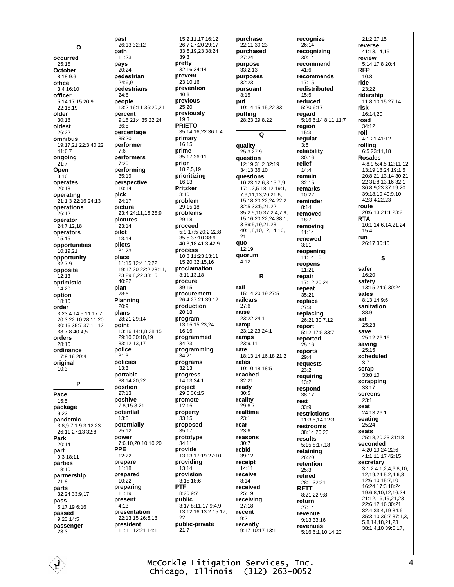$\Omega$ occurred  $25:15$ October 8:18 9:6 office  $3.416.10$ officer 5:14 17:15 20:9 22:16,19 older  $30:18$ oldest 26:22 omnibus 19:17,21 22:3 40:22  $41:6.7$ ongoing  $21:7$ Open  $3:16$ operates  $20.13$ operating 21:1,3 22:16 24:13 operations 26:12 operator  $24.71218$ operators  $15.15$ opportunities  $10.19.21$ opportunity  $32:7,9$ opposite  $12.13$ optimistic  $14.20$ option 18:10 order 3:23 4:14 5:11 17:7 20:3 22:10 28:11,20 30:16 35:7 37:11 12  $38.7840.45$ orders  $28:10$ ordinance 17:8.16 20:4 original  $10:3$ P Pace  $15:5$ package  $9:23$ pandemic  $3.8971931223$ 26:11 27:13 32:8 Park  $20:14$ part  $9:318:11$ parties 18:10 partnership  $21:8$ parts 32:24 33:9,17 pass 5:17,196:16 passed  $9:2314:5$ passenger  $23:3$ 

Ė

past 26:13 32:12 path  $11.23$ pays  $20.24$ pedestrian 24:6,9 pedestrians  $24.8$ people 13:2 16:11 36:20,21 percent 9:18 21:4 35:22,24  $36:5$ percentage  $35.20$ performer  $7:6$ performers  $7.20$ performing 35:19 perspective  $10:14$ pick  $24.17$ picture 23:4 24:11,16 25:9 pictures  $23:14$ pilot  $13:14$ pilots  $31:23$ place 11:15 12:4 15:22 19:17.20 22:2 28:11. 23 29:8,22 33:15  $10.22$ plan  $28.6$ Planning  $20.9$ plans 28:21 29:14 point 13:16 14:1,8 28:15 29:10 30:10.19 33.12 13 17 police  $31:3$ policies  $13:3$ portable 38:14.20.22 position  $27:13$ positive 7:8.15 8:21 potential 13:8 potentially  $25.12$ power 7:6,10,20 10:10,20 **PPF**  $12:22$ prepare  $11:18$ prepared  $10.22$ preparing 11:19 present  $4.13$ presentation 22:13,15 26:6,18 president 11:11 12:21 14:1

15:2.11.17 16:12 26:7 27:20 29:17 33:6.19.23 38:24  $39:3$ pretty  $32:16.34:14$ prevent 23:10,16 prevention  $40.6$ previous  $25:20$ previously 19:3 **PRIETO** 35:14,16,22 36:1,4 primary 16:15 prime 35:17 36:11 prior  $18.2519$ prioritizing 16:13 Pritzker  $3:10$ problem 29:15,18 problems  $29.18$ proceed 5:9 17:5 20:2 22:8 35:5 37:10 38:6 40:3 18 41:3 42:9 process 10:8 11:23 13:11 15:20 32:15,16 proclamation 3:11.13.18 procure  $39.15$ procurement 26:4 27:21 39:12 production  $20.18$ program 13:15 15:23,24 16:16 programmed  $34.23$ programming 34:21 programs  $32:13$ progress  $14.13.34.1$ project 29:5 36:15 promote  $12:15$ property  $33:15$ proposed  $35.17$ prototype  $34.11$ provide 13:13 17:19 27:10 providing  $13:14$ provision 3:15 18:6 **PTF**  $8:209:7$ public  $3:178:11.179:4.9$ 13 12:16 13:2 15:17. 22 public-private  $21:7$ 

purchase 22:11 30:23 purchased  $27.24$ purpose  $33:2.13$ purposes  $32:23$ pursuant  $3.15$ put 10:14 15:15,22 33:1 putting 28:23 29:8,22  $\Omega$ quality  $25.327.9$ question 12:19 31:2 32:19 34:13 36:10 questions 10:23 12:6.8 15:7.9 17:1 2 5 18:12 19:1 7,9,11,13,20 21:6, 15 18 20 22 24 22 2  $32.533.52122$ 35:2.5.10 37:2.4.7.9 15, 16, 20, 22, 24 38: 1, 3 39:5.19.21.23 40:1,8,10,12,14,16,  $21$ quo  $12.19$ quorum  $4:12$ R rail 15:14 20:19 27:5 railcars  $27:6$ raise  $23.2224.1$ ramp 23:12,23 24:1 ramns  $23.911$ rate 18:13,14,16,18 21:2 rates 10:10,18 18:5 reached  $32.21$ ready  $30:5$ reality  $29:6.7$ realtime  $23.1$ rear  $23.6$ reasons  $30.7$ rebid  $39:12$ receipt  $14:11$ receive  $8.14$ received 25:19 receiving  $27.18$ recent  $9:2$ recently 9:17 10:17 13:1

recognize  $26:14$ recoanizina  $30.14$ recommend  $41.6$ recommends 17:15 redistributed  $15:5$ reduced 5:20 6:17 regard 5:16 6:14 8:11 11:7 region  $15:3$ regular  $3.6$ reliability  $30:16$ relief  $14.4$ remain  $32:15$ remarks  $10.22$ reminder  $8:14$ removed  $18.7$ removing  $11:14$ renewed  $3:11$ reopening  $11.1418$ reopens  $11:21$ repair 17:12,20,24 repeat  $35.21$ replace  $27:3$ replacing 26.21.30.7.12 report 5:12 17:5 33:7 reported  $25:16$ renorts  $29.4$ requests  $23.2$ requiring  $13.2$ respond 38:17 rest  $33.9$ restrictions 11:3,5,14 12:3 restrooms 38:14.20.23 results 5:15 8:17.18 retaining 26:20 retention 25:3 retired 28:1.32:21 **RETT** 8:21,22 9:8 return  $27:14$ revenue 9:13 33:16 revenues 5:16 6:1,10,14,20

 $21.227.15$ reverse 41:13.14.15 review 5:14 17:8 20:4 **RFP**  $10.8$ ride 23:22 ridership 11:8,10,15 27:14 risk 16:14,20 road  $34.12$ roll 4:1,21 41:12 rolling  $6:523:1118$ **Rosales** 4:8,9 5:4,5 12:11.12 13:19 18:24 19:1,5 20:8 21:13,14 30:21, 22 31:8,13,16 32:1 36:8.9.23 37:19.20 39:18.19 40:9.10 42:3,4,22,23 route 20:6,13 21:1 23:2 **RTA** 10:1 14:6,14,21,24  $15:4$ run 26:17 30:15 S safer  $16.20$ safety 13:15 24:6 30:24 sales 8:13,149:6 sanitation 38:9 sat  $25.23$ save  $25.1226.16$ saving  $25:15$ scheduled  $3:7$ scrap  $33:8.10$ scrapping  $33:17$ screens  $23.1$ seat 24:13 26:1 seating  $25:24$ seats 25:18,20,23 31:18 seconded 4:20 19:24 22:6 41:1,11,17 42:15 secretary  $3.124.1246810$ 12.19.24 5:2.4.6.8 12:6,10 15:7,10 16:24 17:3 18:24 19:6.8.10.12.16.24 21:12,16,19,21,23 22:6,12,16 30:21 32:4 33:4,19 34:6 35:3,10 36:7 37:1,3, 5.8.14.18.21.23 38:1,4,10 39:5,17,